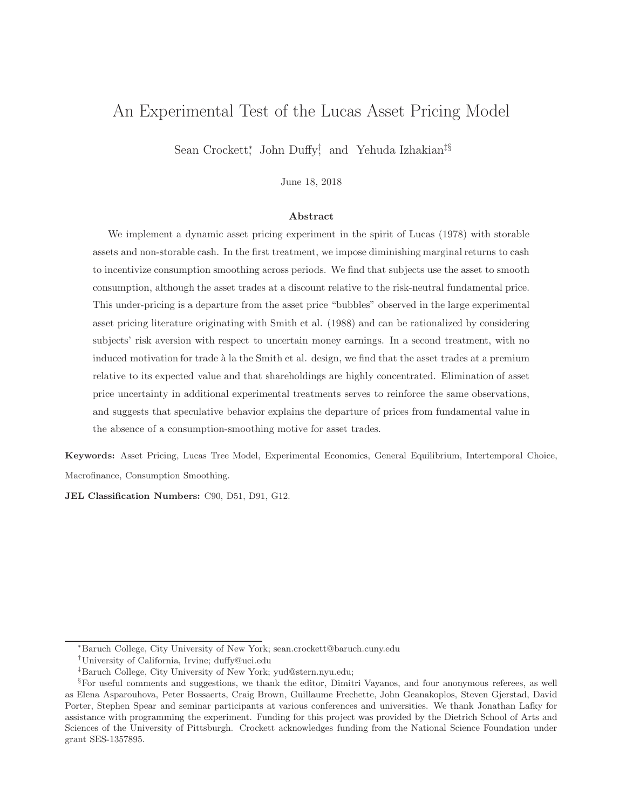# An Experimental Test of the Lucas Asset Pricing Model

Sean Crockett<sup>\*</sup> John Duffy<sup>†</sup> and Yehuda Izhakian<sup>‡§</sup>

June 18, 2018

#### **Abstract**

We implement a dynamic asset pricing experiment in the spirit of Lucas (1978) with storable assets and non-storable cash. In the first treatment, we impose diminishing marginal returns to cash to incentivize consumption smoothing across periods. We find that subjects use the asset to smooth consumption, although the asset trades at a discount relative to the risk-neutral fundamental price. This under-pricing is a departure from the asset price "bubbles" observed in the large experimental asset pricing literature originating with Smith et al. (1988) and can be rationalized by considering subjects' risk aversion with respect to uncertain money earnings. In a second treatment, with no induced motivation for trade à la the Smith et al. design, we find that the asset trades at a premium relative to its expected value and that shareholdings are highly concentrated. Elimination of asset price uncertainty in additional experimental treatments serves to reinforce the same observations, and suggests that speculative behavior explains the departure of prices from fundamental value in the absence of a consumption-smoothing motive for asset trades.

**Keywords:** Asset Pricing, Lucas Tree Model, Experimental Economics, General Equilibrium, Intertemporal Choice, Macrofinance, Consumption Smoothing.

**JEL Classification Numbers:** C90, D51, D91, G12.

<sup>∗</sup>Baruch College, City University of New York; sean.crockett@baruch.cuny.edu

<sup>†</sup>University of California, Irvine; duffy@uci.edu

<sup>‡</sup>Baruch College, City University of New York; yud@stern.nyu.edu;

<sup>§</sup>For useful comments and suggestions, we thank the editor, Dimitri Vayanos, and four anonymous referees, as well as Elena Asparouhova, Peter Bossaerts, Craig Brown, Guillaume Frechette, John Geanakoplos, Steven Gjerstad, David Porter, Stephen Spear and seminar participants at various conferences and universities. We thank Jonathan Lafky for assistance with programming the experiment. Funding for this project was provided by the Dietrich School of Arts and Sciences of the University of Pittsburgh. Crockett acknowledges funding from the National Science Foundation under grant SES-1357895.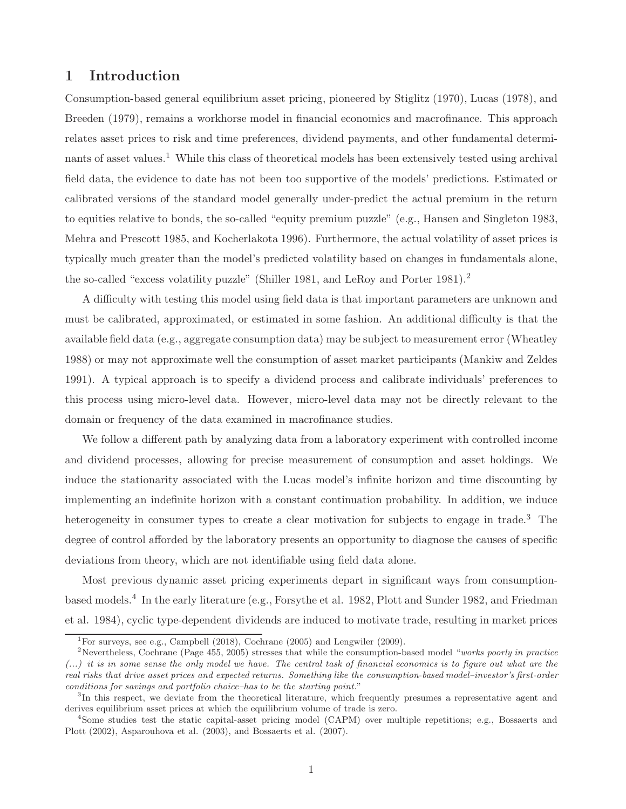# **1 Introduction**

Consumption-based general equilibrium asset pricing, pioneered by Stiglitz (1970), Lucas (1978), and Breeden (1979), remains a workhorse model in financial economics and macrofinance. This approach relates asset prices to risk and time preferences, dividend payments, and other fundamental determinants of asset values.<sup>1</sup> While this class of theoretical models has been extensively tested using archival field data, the evidence to date has not been too supportive of the models' predictions. Estimated or calibrated versions of the standard model generally under-predict the actual premium in the return to equities relative to bonds, the so-called "equity premium puzzle" (e.g., Hansen and Singleton 1983, Mehra and Prescott 1985, and Kocherlakota 1996). Furthermore, the actual volatility of asset prices is typically much greater than the model's predicted volatility based on changes in fundamentals alone, the so-called "excess volatility puzzle" (Shiller 1981, and LeRoy and Porter 1981).<sup>2</sup>

A difficulty with testing this model using field data is that important parameters are unknown and must be calibrated, approximated, or estimated in some fashion. An additional difficulty is that the available field data (e.g., aggregate consumption data) may be subject to measurement error (Wheatley 1988) or may not approximate well the consumption of asset market participants (Mankiw and Zeldes 1991). A typical approach is to specify a dividend process and calibrate individuals' preferences to this process using micro-level data. However, micro-level data may not be directly relevant to the domain or frequency of the data examined in macrofinance studies.

We follow a different path by analyzing data from a laboratory experiment with controlled income and dividend processes, allowing for precise measurement of consumption and asset holdings. We induce the stationarity associated with the Lucas model's infinite horizon and time discounting by implementing an indefinite horizon with a constant continuation probability. In addition, we induce heterogeneity in consumer types to create a clear motivation for subjects to engage in trade.<sup>3</sup> The degree of control afforded by the laboratory presents an opportunity to diagnose the causes of specific deviations from theory, which are not identifiable using field data alone.

Most previous dynamic asset pricing experiments depart in significant ways from consumptionbased models.<sup>4</sup> In the early literature (e.g., Forsythe et al. 1982, Plott and Sunder 1982, and Friedman et al. 1984), cyclic type-dependent dividends are induced to motivate trade, resulting in market prices

<sup>&</sup>lt;sup>1</sup>For surveys, see e.g., Campbell  $(2018)$ , Cochrane  $(2005)$  and Lengwiler  $(2009)$ .

<sup>2</sup>Nevertheless, Cochrane (Page 455, 2005) stresses that while the consumption-based model "*works poorly in practice (...) it is in some sense the only model we have. The central task of financial economics is to figure out what are the real risks that drive asset prices and expected returns. Something like the consumption-based model–investor's first-order conditions for savings and portfolio choice–has to be the starting point.*"

<sup>&</sup>lt;sup>3</sup>In this respect, we deviate from the theoretical literature, which frequently presumes a representative agent and derives equilibrium asset prices at which the equilibrium volume of trade is zero.

<sup>4</sup>Some studies test the static capital-asset pricing model (CAPM) over multiple repetitions; e.g., Bossaerts and Plott (2002), Asparouhova et al. (2003), and Bossaerts et al. (2007).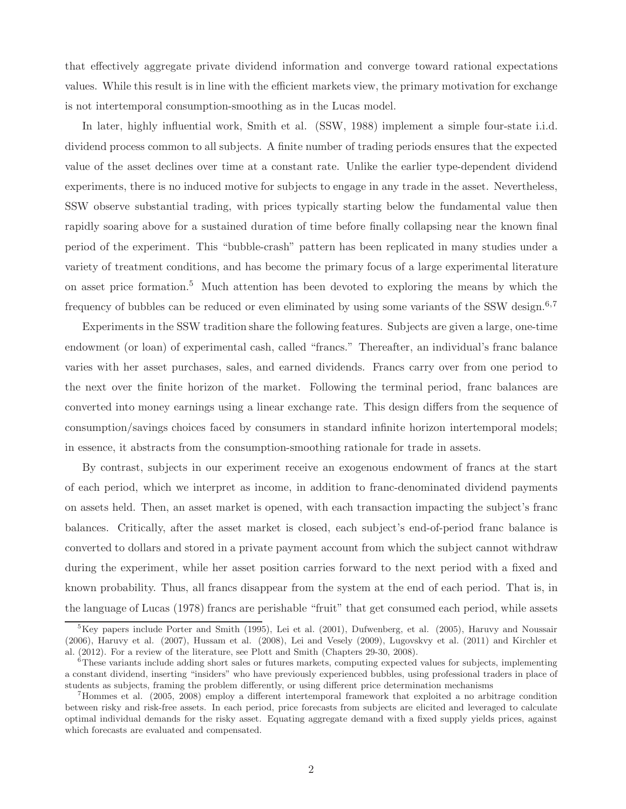that effectively aggregate private dividend information and converge toward rational expectations values. While this result is in line with the efficient markets view, the primary motivation for exchange is not intertemporal consumption-smoothing as in the Lucas model.

In later, highly influential work, Smith et al. (SSW, 1988) implement a simple four-state i.i.d. dividend process common to all subjects. A finite number of trading periods ensures that the expected value of the asset declines over time at a constant rate. Unlike the earlier type-dependent dividend experiments, there is no induced motive for subjects to engage in any trade in the asset. Nevertheless, SSW observe substantial trading, with prices typically starting below the fundamental value then rapidly soaring above for a sustained duration of time before finally collapsing near the known final period of the experiment. This "bubble-crash" pattern has been replicated in many studies under a variety of treatment conditions, and has become the primary focus of a large experimental literature on asset price formation.<sup>5</sup> Much attention has been devoted to exploring the means by which the frequency of bubbles can be reduced or even eliminated by using some variants of the SSW design.<sup>6,7</sup>

Experiments in the SSW tradition share the following features. Subjects are given a large, one-time endowment (or loan) of experimental cash, called "francs." Thereafter, an individual's franc balance varies with her asset purchases, sales, and earned dividends. Francs carry over from one period to the next over the finite horizon of the market. Following the terminal period, franc balances are converted into money earnings using a linear exchange rate. This design differs from the sequence of consumption/savings choices faced by consumers in standard infinite horizon intertemporal models; in essence, it abstracts from the consumption-smoothing rationale for trade in assets.

By contrast, subjects in our experiment receive an exogenous endowment of francs at the start of each period, which we interpret as income, in addition to franc-denominated dividend payments on assets held. Then, an asset market is opened, with each transaction impacting the subject's franc balances. Critically, after the asset market is closed, each subject's end-of-period franc balance is converted to dollars and stored in a private payment account from which the subject cannot withdraw during the experiment, while her asset position carries forward to the next period with a fixed and known probability. Thus, all francs disappear from the system at the end of each period. That is, in the language of Lucas (1978) francs are perishable "fruit" that get consumed each period, while assets

 $5$ Key papers include Porter and Smith (1995), Lei et al. (2001), Dufwenberg, et al. (2005), Haruvy and Noussair (2006), Haruvy et al. (2007), Hussam et al. (2008), Lei and Vesely (2009), Lugovskvy et al. (2011) and Kirchler et al. (2012). For a review of the literature, see Plott and Smith (Chapters 29-30, 2008).

 $6$ These variants include adding short sales or futures markets, computing expected values for subjects, implementing a constant dividend, inserting "insiders" who have previously experienced bubbles, using professional traders in place of students as subjects, framing the problem differently, or using different price determination mechanisms

<sup>7</sup>Hommes et al. (2005, 2008) employ a different intertemporal framework that exploited a no arbitrage condition between risky and risk-free assets. In each period, price forecasts from subjects are elicited and leveraged to calculate optimal individual demands for the risky asset. Equating aggregate demand with a fixed supply yields prices, against which forecasts are evaluated and compensated.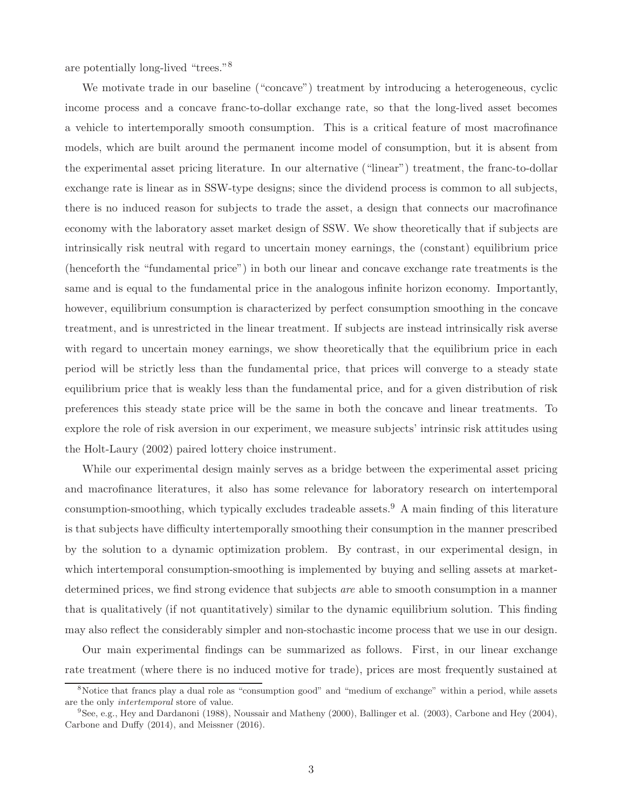are potentially long-lived "trees."<sup>8</sup>

We motivate trade in our baseline ("concave") treatment by introducing a heterogeneous, cyclic income process and a concave franc-to-dollar exchange rate, so that the long-lived asset becomes a vehicle to intertemporally smooth consumption. This is a critical feature of most macrofinance models, which are built around the permanent income model of consumption, but it is absent from the experimental asset pricing literature. In our alternative ("linear") treatment, the franc-to-dollar exchange rate is linear as in SSW-type designs; since the dividend process is common to all subjects, there is no induced reason for subjects to trade the asset, a design that connects our macrofinance economy with the laboratory asset market design of SSW. We show theoretically that if subjects are intrinsically risk neutral with regard to uncertain money earnings, the (constant) equilibrium price (henceforth the "fundamental price") in both our linear and concave exchange rate treatments is the same and is equal to the fundamental price in the analogous infinite horizon economy. Importantly, however, equilibrium consumption is characterized by perfect consumption smoothing in the concave treatment, and is unrestricted in the linear treatment. If subjects are instead intrinsically risk averse with regard to uncertain money earnings, we show theoretically that the equilibrium price in each period will be strictly less than the fundamental price, that prices will converge to a steady state equilibrium price that is weakly less than the fundamental price, and for a given distribution of risk preferences this steady state price will be the same in both the concave and linear treatments. To explore the role of risk aversion in our experiment, we measure subjects' intrinsic risk attitudes using the Holt-Laury (2002) paired lottery choice instrument.

While our experimental design mainly serves as a bridge between the experimental asset pricing and macrofinance literatures, it also has some relevance for laboratory research on intertemporal consumption-smoothing, which typically excludes tradeable assets.<sup>9</sup> A main finding of this literature is that subjects have difficulty intertemporally smoothing their consumption in the manner prescribed by the solution to a dynamic optimization problem. By contrast, in our experimental design, in which intertemporal consumption-smoothing is implemented by buying and selling assets at marketdetermined prices, we find strong evidence that subjects *are* able to smooth consumption in a manner that is qualitatively (if not quantitatively) similar to the dynamic equilibrium solution. This finding may also reflect the considerably simpler and non-stochastic income process that we use in our design.

Our main experimental findings can be summarized as follows. First, in our linear exchange rate treatment (where there is no induced motive for trade), prices are most frequently sustained at

<sup>8</sup>Notice that francs play a dual role as "consumption good" and "medium of exchange" within a period, while assets are the only *intertemporal* store of value.

<sup>9</sup>See, e.g., Hey and Dardanoni (1988), Noussair and Matheny (2000), Ballinger et al. (2003), Carbone and Hey (2004), Carbone and Duffy (2014), and Meissner (2016).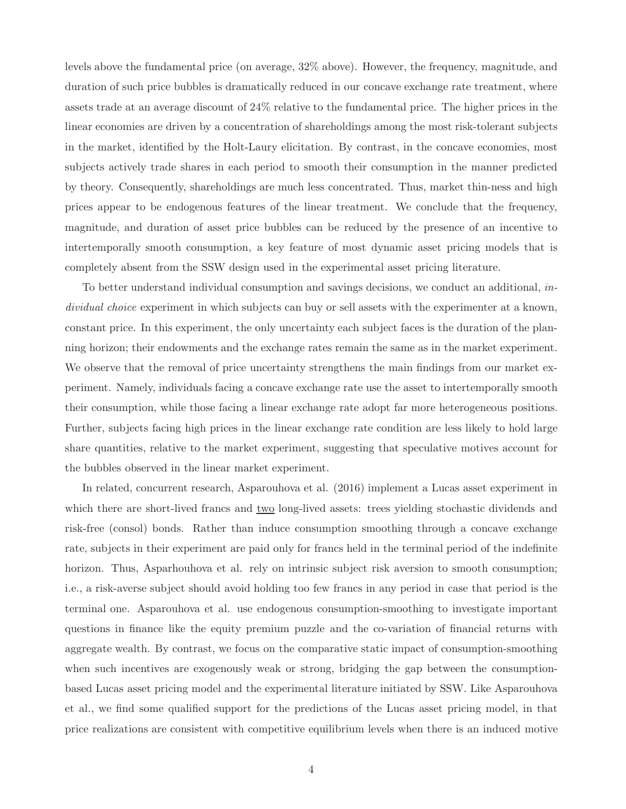levels above the fundamental price (on average, 32% above). However, the frequency, magnitude, and duration of such price bubbles is dramatically reduced in our concave exchange rate treatment, where assets trade at an average discount of 24% relative to the fundamental price. The higher prices in the linear economies are driven by a concentration of shareholdings among the most risk-tolerant subjects in the market, identified by the Holt-Laury elicitation. By contrast, in the concave economies, most subjects actively trade shares in each period to smooth their consumption in the manner predicted by theory. Consequently, shareholdings are much less concentrated. Thus, market thin-ness and high prices appear to be endogenous features of the linear treatment. We conclude that the frequency, magnitude, and duration of asset price bubbles can be reduced by the presence of an incentive to intertemporally smooth consumption, a key feature of most dynamic asset pricing models that is completely absent from the SSW design used in the experimental asset pricing literature.

To better understand individual consumption and savings decisions, we conduct an additional, *individual choice* experiment in which subjects can buy or sell assets with the experimenter at a known, constant price. In this experiment, the only uncertainty each subject faces is the duration of the planning horizon; their endowments and the exchange rates remain the same as in the market experiment. We observe that the removal of price uncertainty strengthens the main findings from our market experiment. Namely, individuals facing a concave exchange rate use the asset to intertemporally smooth their consumption, while those facing a linear exchange rate adopt far more heterogeneous positions. Further, subjects facing high prices in the linear exchange rate condition are less likely to hold large share quantities, relative to the market experiment, suggesting that speculative motives account for the bubbles observed in the linear market experiment.

In related, concurrent research, Asparouhova et al. (2016) implement a Lucas asset experiment in which there are short-lived francs and two long-lived assets: trees yielding stochastic dividends and risk-free (consol) bonds. Rather than induce consumption smoothing through a concave exchange rate, subjects in their experiment are paid only for francs held in the terminal period of the indefinite horizon. Thus, Asparhouhova et al. rely on intrinsic subject risk aversion to smooth consumption; i.e., a risk-averse subject should avoid holding too few francs in any period in case that period is the terminal one. Asparouhova et al. use endogenous consumption-smoothing to investigate important questions in finance like the equity premium puzzle and the co-variation of financial returns with aggregate wealth. By contrast, we focus on the comparative static impact of consumption-smoothing when such incentives are exogenously weak or strong, bridging the gap between the consumptionbased Lucas asset pricing model and the experimental literature initiated by SSW. Like Asparouhova et al., we find some qualified support for the predictions of the Lucas asset pricing model, in that price realizations are consistent with competitive equilibrium levels when there is an induced motive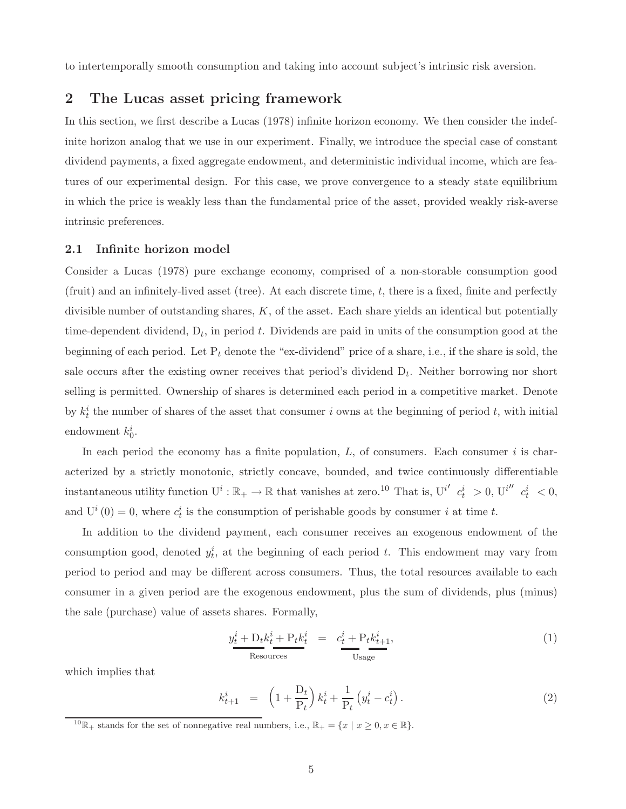to intertemporally smooth consumption and taking into account subject's intrinsic risk aversion.

# **2 The Lucas asset pricing framework**

In this section, we first describe a Lucas (1978) infinite horizon economy. We then consider the indefinite horizon analog that we use in our experiment. Finally, we introduce the special case of constant dividend payments, a fixed aggregate endowment, and deterministic individual income, which are features of our experimental design. For this case, we prove convergence to a steady state equilibrium in which the price is weakly less than the fundamental price of the asset, provided weakly risk-averse intrinsic preferences.

#### **2.1 Infinite horizon model**

Consider a Lucas (1978) pure exchange economy, comprised of a non-storable consumption good  $(f_{\text{crit}})$  and an infinitely-lived asset (tree). At each discrete time, t, there is a fixed, finite and perfectly divisible number of outstanding shares,  $K$ , of the asset. Each share yields an identical but potentially time-dependent dividend,  $D_t$ , in period t. Dividends are paid in units of the consumption good at the beginning of each period. Let  $P_t$  denote the "ex-dividend" price of a share, i.e., if the share is sold, the sale occurs after the existing owner receives that period's dividend  $D_t$ . Neither borrowing nor short selling is permitted. Ownership of shares is determined each period in a competitive market. Denote by  $k_t^i$  the number of shares of the asset that consumer i owns at the beginning of period t, with initial endowment  $k_0^i$ .

In each period the economy has a finite population,  $L$ , of consumers. Each consumer i is characterized by a strictly monotonic, strictly concave, bounded, and twice continuously differentiable instantaneous utility function  $U^i : \mathbb{R}_+ \to \mathbb{R}$  that vanishes at zero.<sup>10</sup> That is,  $U^{i'} c_t^{i} > 0$ ,  $U^{i''} c_t^{i} < 0$ , and  $U^{i}(0) = 0$ , where  $c_{t}^{i}$  is the consumption of perishable goods by consumer i at time t.

In addition to the dividend payment, each consumer receives an exogenous endowment of the consumption good, denoted  $y_t^i$ , at the beginning of each period t. This endowment may vary from period to period and may be different across consumers. Thus, the total resources available to each consumer in a given period are the exogenous endowment, plus the sum of dividends, plus (minus) the sale (purchase) value of assets shares. Formally,

$$
\frac{y_t^i + D_t k_t^i + P_t k_t^i}{\text{Resources}} = c_t^i + P_t k_{t+1}^i,\tag{1}
$$

which implies that

$$
k_{t+1}^i = \left(1 + \frac{\mathcal{D}_t}{\mathcal{P}_t}\right) k_t^i + \frac{1}{\mathcal{P}_t} \left(y_t^i - c_t^i\right). \tag{2}
$$

<sup>10</sup> $\mathbb{R}_+$  stands for the set of nonnegative real numbers, i.e.,  $\mathbb{R}_+ = \{x \mid x \geq 0, x \in \mathbb{R}\}.$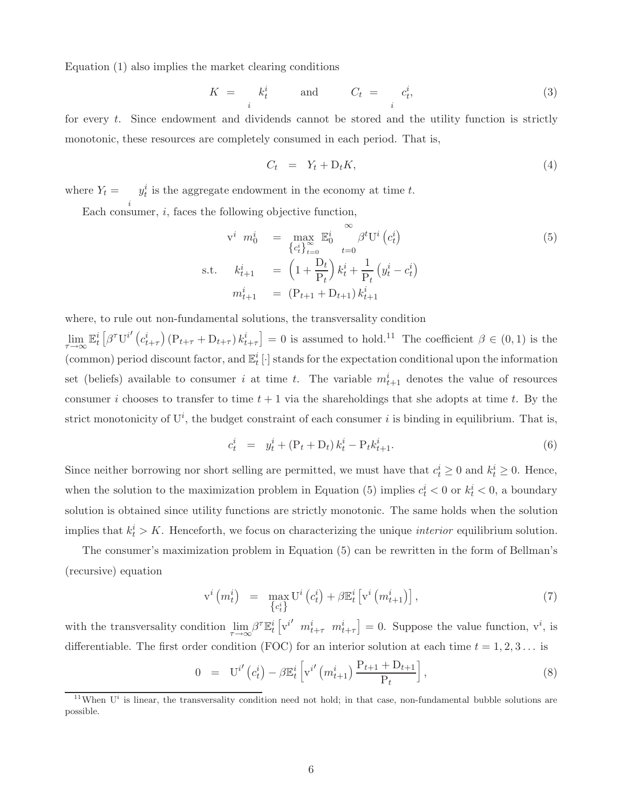Equation (1) also implies the market clearing conditions

$$
K = \begin{array}{ccccc} & k_t^i & \text{and} & & C_t = \begin{array}{ccccc} & c_t^i, & & & & \\ & i & & & i \end{array} \tag{3}
$$

for every t. Since endowment and dividends cannot be stored and the utility function is strictly monotonic, these resources are completely consumed in each period. That is,

$$
C_t = Y_t + D_t K, \t\t(4)
$$

where  $Y_t =$ i  $y_t^i$  is the aggregate endowment in the economy at time t.

Each consumer, i, faces the following objective function,

$$
\mathbf{v}^{i} \ m_{0}^{i} = \max_{\{c_{t}^{i}\}_{t=0}^{\infty}} \mathbb{E}_{0}^{i} \ \beta^{t} \mathbf{U}^{i} \left(c_{t}^{i}\right)
$$
\n
$$
\text{s.t.} \ \ k_{t+1}^{i} = \left(1 + \frac{\mathbf{D}_{t}}{\mathbf{P}_{t}}\right) k_{t}^{i} + \frac{1}{\mathbf{P}_{t}} \left(y_{t}^{i} - c_{t}^{i}\right)
$$
\n
$$
m_{t+1}^{i} = \left(\mathbf{P}_{t+1} + \mathbf{D}_{t+1}\right) k_{t+1}^{i}
$$
\n
$$
(5)
$$

where, to rule out non-fundamental solutions, the transversality condition  $\lim_{\tau \to \infty} \mathbb{E}_t^i \left[ \beta^{\tau} \mathbf{U}^{i'} \left( c_{t+\tau}^i \right) \left( \mathbf{P}_{t+\tau} + \mathbf{D}_{t+\tau} \right) k_{t+\tau}^i \right] = 0$  is assumed to hold.<sup>11</sup> The coefficient  $\beta \in (0,1)$  is the (common) period discount factor, and  $\mathbb{E}_t^i$  [ $\cdot$ ] stands for the expectation conditional upon the information set (beliefs) available to consumer i at time t. The variable  $m_{t+1}^i$  denotes the value of resources consumer i chooses to transfer to time  $t + 1$  via the shareholdings that she adopts at time t. By the strict monotonicity of  $U^i$ , the budget constraint of each consumer i is binding in equilibrium. That is,

$$
c_t^i = y_t^i + (\mathbf{P}_t + \mathbf{D}_t) k_t^i - \mathbf{P}_t k_{t+1}^i.
$$
 (6)

Since neither borrowing nor short selling are permitted, we must have that  $c_t^i \geq 0$  and  $k_t^i \geq 0$ . Hence, when the solution to the maximization problem in Equation (5) implies  $c_t^i < 0$  or  $k_t^i < 0$ , a boundary solution is obtained since utility functions are strictly monotonic. The same holds when the solution implies that  $k_t^i > K$ . Henceforth, we focus on characterizing the unique *interior* equilibrium solution.

The consumer's maximization problem in Equation (5) can be rewritten in the form of Bellman's (recursive) equation

$$
\mathbf{v}^{i}\left(m_{t}^{i}\right) = \max_{\left\{c_{t}^{i}\right\}} \mathbf{U}^{i}\left(c_{t}^{i}\right) + \beta \mathbb{E}_{t}^{i}\left[\mathbf{v}^{i}\left(m_{t+1}^{i}\right)\right],\tag{7}
$$

with the transversality condition  $\lim_{\tau \to \infty} \beta^{\tau} \mathbb{E}_{t}^{i} \left[ v^{i'} \ m_{t+\tau}^{i} \ m_{t+\tau}^{i} \right] = 0$ . Suppose the value function,  $v^{i}$ , is differentiable. The first order condition (FOC) for an interior solution at each time  $t = 1, 2, 3...$  is

$$
0 = U^{i'}(c_t^i) - \beta \mathbb{E}_t^i \left[ v^{i'}(m_{t+1}^i) \frac{P_{t+1} + D_{t+1}}{P_t} \right],
$$
\n(8)

<sup>&</sup>lt;sup>11</sup>When  $U^i$  is linear, the transversality condition need not hold; in that case, non-fundamental bubble solutions are possible.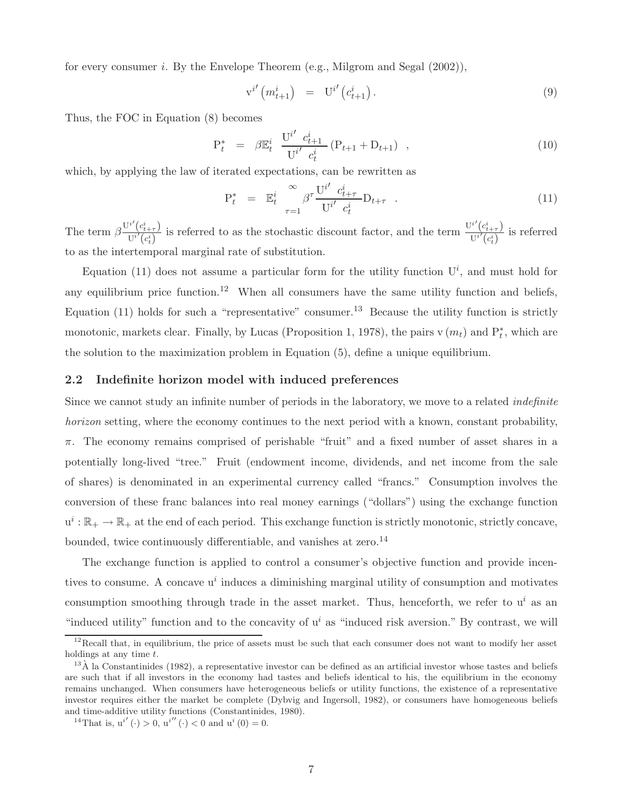for every consumer i. By the Envelope Theorem (e.g., Milgrom and Segal (2002)),

$$
v^{i'}\left(m_{t+1}^i\right) = U^{i'}\left(c_{t+1}^i\right). \tag{9}
$$

Thus, the FOC in Equation (8) becomes

$$
P_t^* = \beta \mathbb{E}_t^i \frac{U^{i'} c_{t+1}^i}{U^{i'} c_t^i} (P_{t+1} + D_{t+1}) , \qquad (10)
$$

which, by applying the law of iterated expectations, can be rewritten as

$$
\mathbf{P}_t^* = \mathbb{E}_t^i \underset{\tau=1}{\overset{\infty}{\longrightarrow}} \beta^{\tau} \frac{\mathbf{U}^{i'} \ c_{t+\tau}^i}{\mathbf{U}^{i'} \ c_t^i} \mathbf{D}_{t+\tau} \quad . \tag{11}
$$

The term  $\beta \frac{\mathrm{U}^{i'}(c_{t+\tau}^i)}{\mathrm{U}^{i'}(c_{t+\tau}^i)}$  $U^{i'}(c_{t+\tau}^i)$  is referred to as the stochastic discount factor, and the term  $\frac{U^{i'}(c_{t+\tau}^i)}{U^{i'}(c_t^i)}$  $\frac{C_{t+\tau}}{\mathrm{U}^{i'}(c_t^i)}$  is referred to as the intertemporal marginal rate of substitution.

Equation (11) does not assume a particular form for the utility function  $U^i$ , and must hold for any equilibrium price function.<sup>12</sup> When all consumers have the same utility function and beliefs, Equation  $(11)$  holds for such a "representative" consumer.<sup>13</sup> Because the utility function is strictly monotonic, markets clear. Finally, by Lucas (Proposition 1, 1978), the pairs  $v(m_t)$  and  $P_t^*$ , which are the solution to the maximization problem in Equation (5), define a unique equilibrium.

#### **2.2 Indefinite horizon model with induced preferences**

Since we cannot study an infinite number of periods in the laboratory, we move to a related *indefinite horizon* setting, where the economy continues to the next period with a known, constant probability,  $\pi$ . The economy remains comprised of perishable "fruit" and a fixed number of asset shares in a potentially long-lived "tree." Fruit (endowment income, dividends, and net income from the sale of shares) is denominated in an experimental currency called "francs." Consumption involves the conversion of these franc balances into real money earnings ("dollars") using the exchange function  $u^i : \mathbb{R}_+ \to \mathbb{R}_+$  at the end of each period. This exchange function is strictly monotonic, strictly concave, bounded, twice continuously differentiable, and vanishes at zero.<sup>14</sup>

The exchange function is applied to control a consumer's objective function and provide incentives to consume. A concave  $u^i$  induces a diminishing marginal utility of consumption and motivates consumption smoothing through trade in the asset market. Thus, henceforth, we refer to  $u^i$  as an "induced utility" function and to the concavity of  $u^i$  as "induced risk aversion." By contrast, we will

<sup>&</sup>lt;sup>12</sup>Recall that, in equilibrium, the price of assets must be such that each consumer does not want to modify her asset holdings at any time  $t$ .

 $^{13}$  d la Constantinides (1982), a representative investor can be defined as an artificial investor whose tastes and beliefs are such that if all investors in the economy had tastes and beliefs identical to his, the equilibrium in the economy remains unchanged. When consumers have heterogeneous beliefs or utility functions, the existence of a representative investor requires either the market be complete (Dybvig and Ingersoll, 1982), or consumers have homogeneous beliefs and time-additive utility functions (Constantinides, 1980).

<sup>&</sup>lt;sup>14</sup>That is,  $u^{i'}(\cdot) > 0$ ,  $u^{i''}(\cdot) < 0$  and  $u^{i}(0) = 0$ .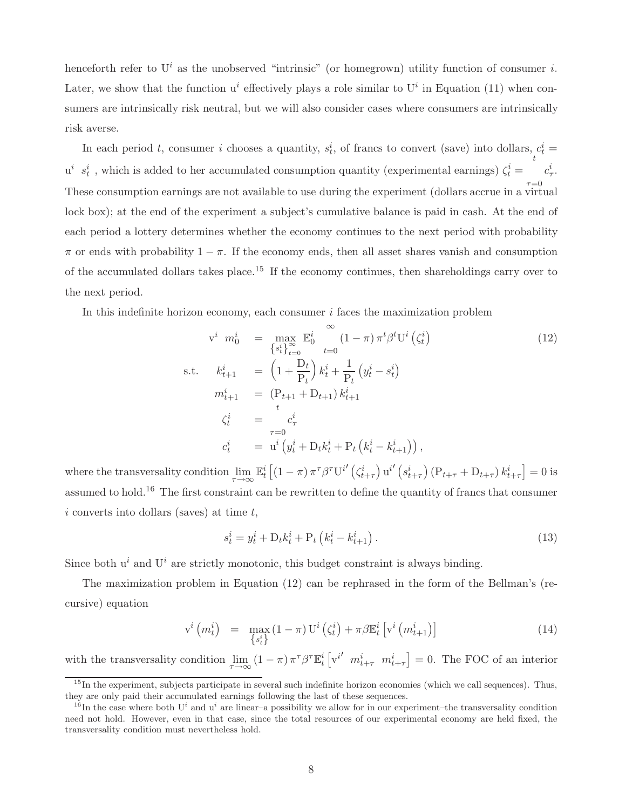henceforth refer to  $U^i$  as the unobserved "intrinsic" (or homegrown) utility function of consumer i. Later, we show that the function  $u^i$  effectively plays a role similar to  $U^i$  in Equation (11) when consumers are intrinsically risk neutral, but we will also consider cases where consumers are intrinsically risk averse.

In each period t, consumer i chooses a quantity,  $s_t^i$ , of francs to convert (save) into dollars,  $c_t^i$  $u^i$   $s_t^i$ , which is added to her accumulated consumption quantity (experimental earnings)  $\zeta_t^i$ t  $\tau = 0$  $c^i_\tau.$ These consumption earnings are not available to use during the experiment (dollars accrue in a virtual lock box); at the end of the experiment a subject's cumulative balance is paid in cash. At the end of each period a lottery determines whether the economy continues to the next period with probability  $\pi$  or ends with probability  $1 - \pi$ . If the economy ends, then all asset shares vanish and consumption of the accumulated dollars takes place.<sup>15</sup> If the economy continues, then shareholdings carry over to the next period.

In this indefinite horizon economy, each consumer  $i$  faces the maximization problem

$$
v^{i} \ m_{0}^{i} = \max_{\{s_{t}^{i}\}_{t=0}^{i}} \mathbb{E}_{0}^{i} \ (1-\pi) \pi^{t} \beta^{t} U^{i} (\zeta_{t}^{i})
$$
\ns.t. 
$$
k_{t+1}^{i} = \left(1 + \frac{D_{t}}{P_{t}}\right) k_{t}^{i} + \frac{1}{P_{t}} \left(y_{t}^{i} - s_{t}^{i}\right)
$$
\n
$$
m_{t+1}^{i} = \left(P_{t+1} + D_{t+1}\right) k_{t+1}^{i}
$$
\n
$$
\zeta_{t}^{i} = c_{\tau}^{i}
$$
\n
$$
c_{t}^{i} = u^{i} \left(y_{t}^{i} + D_{t} k_{t}^{i} + P_{t} \left(k_{t}^{i} - k_{t+1}^{i}\right)\right),
$$
\n(12)

where the transversality condition  $\lim_{\tau \to \infty} \mathbb{E}_t^i \left[ (1-\pi) \pi^{\tau} \beta^{\tau} U^{i'} \left( \zeta_{t+\tau}^i \right) u^{i'} \left( s_{t+\tau}^i \right) (P_{t+\tau} + D_{t+\tau}) k_{t+\tau}^i \right] = 0$  is assumed to hold.<sup>16</sup> The first constraint can be rewritten to define the quantity of francs that consumer  $i$  converts into dollars (saves) at time  $t$ ,

$$
s_t^i = y_t^i + D_t k_t^i + P_t (k_t^i - k_{t+1}^i).
$$
\n(13)

Since both  $u^i$  and  $U^i$  are strictly monotonic, this budget constraint is always binding.

The maximization problem in Equation (12) can be rephrased in the form of the Bellman's (recursive) equation

$$
\mathbf{v}^{i}\left(m_{t}^{i}\right) = \max_{\left\{s_{t}^{i}\right\}}\left(1-\pi\right)\mathbf{U}^{i}\left(\zeta_{t}^{i}\right) + \pi\beta\mathbb{E}_{t}^{i}\left[\mathbf{v}^{i}\left(m_{t+1}^{i}\right)\right] \tag{14}
$$

with the transversality condition  $\lim_{\tau \to \infty} (1 - \pi) \pi^{\tau} \beta^{\tau} \mathbb{E}_{t}^{i} \left[ v^{i'} \ m_{t+\tau}^{i} \ m_{t+\tau}^{i} \right] = 0$ . The FOC of an interior

 $15$ In the experiment, subjects participate in several such indefinite horizon economies (which we call sequences). Thus, they are only paid their accumulated earnings following the last of these sequences.

 $^{16}$ In the case where both U<sup>i</sup> and u<sup>i</sup> are linear–a possibility we allow for in our experiment–the transversality condition need not hold. However, even in that case, since the total resources of our experimental economy are held fixed, the transversality condition must nevertheless hold.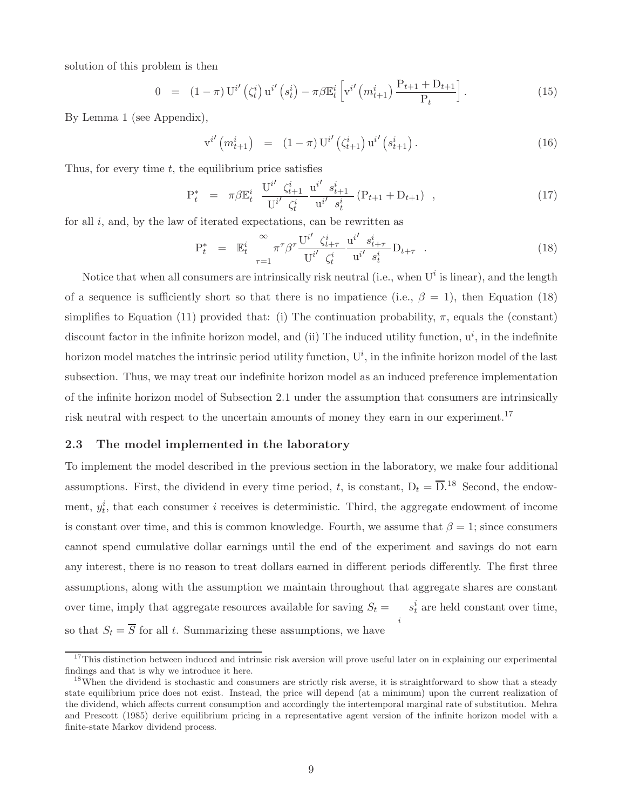solution of this problem is then

$$
0 = (1 - \pi) U^{i'}(\zeta_t^i) u^{i'}(s_t^i) - \pi \beta \mathbb{E}_t^i \left[ v^{i'}(m_{t+1}^i) \frac{P_{t+1} + D_{t+1}}{P_t} \right]. \tag{15}
$$

By Lemma 1 (see Appendix),

$$
v^{i'}(m_{t+1}^i) = (1 - \pi) U^{i'}(\zeta_{t+1}^i) u^{i'}(s_{t+1}^i).
$$
 (16)

Thus, for every time  $t$ , the equilibrium price satisfies

$$
P_t^* = \pi \beta \mathbb{E}_t^i \frac{U^{i'} \zeta_{t+1}^i u^{i'} s_{t+1}^i}{U^{i'} \zeta_t^i u^{i'} s_t^i} (P_{t+1} + D_{t+1}) , \qquad (17)
$$

for all  $i$ , and, by the law of iterated expectations, can be rewritten as

$$
P_t^* = \mathbb{E}_t^i \int_{\tau=1}^{\infty} \pi^{\tau} \beta^{\tau} \frac{U^{i'} \zeta_{t+\tau}^i}{U^{i'} \zeta_t^i} \frac{u^{i'} s_{t+\tau}^i}{u^{i'} s_t^i} D_{t+\tau} . \tag{18}
$$

Notice that when all consumers are intrinsically risk neutral (i.e., when  $U^i$  is linear), and the length of a sequence is sufficiently short so that there is no impatience (i.e.,  $\beta = 1$ ), then Equation (18) simplifies to Equation (11) provided that: (i) The continuation probability,  $\pi$ , equals the (constant) discount factor in the infinite horizon model, and (ii) The induced utility function,  $u^i$ , in the indefinite horizon model matches the intrinsic period utility function,  $U^i$ , in the infinite horizon model of the last subsection. Thus, we may treat our indefinite horizon model as an induced preference implementation of the infinite horizon model of Subsection 2.1 under the assumption that consumers are intrinsically risk neutral with respect to the uncertain amounts of money they earn in our experiment.<sup>17</sup>

### **2.3 The model implemented in the laboratory**

To implement the model described in the previous section in the laboratory, we make four additional assumptions. First, the dividend in every time period, t, is constant,  $D_t = \overline{D}^{18}$  Second, the endowment,  $y_t^i$ , that each consumer i receives is deterministic. Third, the aggregate endowment of income is constant over time, and this is common knowledge. Fourth, we assume that  $\beta = 1$ ; since consumers cannot spend cumulative dollar earnings until the end of the experiment and savings do not earn any interest, there is no reason to treat dollars earned in different periods differently. The first three assumptions, along with the assumption we maintain throughout that aggregate shares are constant over time, imply that aggregate resources available for saving  $S_t =$ i  $s_t^i$  are held constant over time, so that  $S_t = \overline{S}$  for all t. Summarizing these assumptions, we have

<sup>&</sup>lt;sup>17</sup>This distinction between induced and intrinsic risk aversion will prove useful later on in explaining our experimental findings and that is why we introduce it here.

<sup>&</sup>lt;sup>18</sup>When the dividend is stochastic and consumers are strictly risk averse, it is straightforward to show that a steady state equilibrium price does not exist. Instead, the price will depend (at a minimum) upon the current realization of the dividend, which affects current consumption and accordingly the intertemporal marginal rate of substitution. Mehra and Prescott (1985) derive equilibrium pricing in a representative agent version of the infinite horizon model with a finite-state Markov dividend process.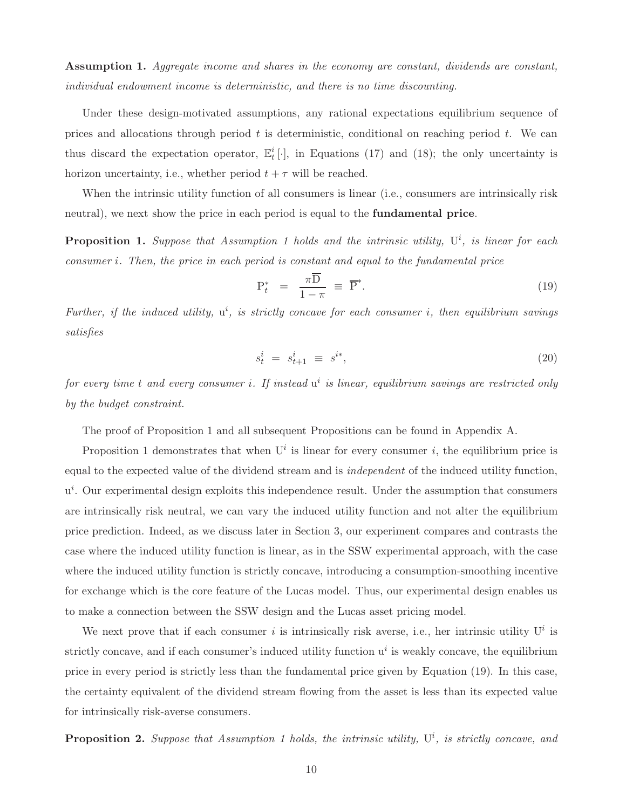**Assumption 1.** *Aggregate income and shares in the economy are constant, dividends are constant, individual endowment income is deterministic, and there is no time discounting.*

Under these design-motivated assumptions, any rational expectations equilibrium sequence of prices and allocations through period  $t$  is deterministic, conditional on reaching period  $t$ . We can thus discard the expectation operator,  $\mathbb{E}_t^i[\cdot]$ , in Equations (17) and (18); the only uncertainty is horizon uncertainty, i.e., whether period  $t + \tau$  will be reached.

When the intrinsic utility function of all consumers is linear (i.e., consumers are intrinsically risk neutral), we next show the price in each period is equal to the **fundamental price**.

**Proposition 1.** Suppose that Assumption 1 holds and the intrinsic utility,  $U^i$ , is linear for each *consumer* i*. Then, the price in each period is constant and equal to the fundamental price*

$$
\mathbf{P}_t^* = \frac{\pi \overline{\mathbf{D}}}{1 - \pi} \equiv \overline{\mathbf{P}}^*.
$$
 (19)

Further, if the induced utility,  $u^i$ , is strictly concave for each consumer *i*, then equilibrium savings *satisfies*

$$
s_t^i \ = \ s_{t+1}^i \ \equiv \ s^{i*}, \tag{20}
$$

*for every time t and every consumer i. If instead*  $u^i$  *is linear, equilibrium savings are restricted only by the budget constraint.*

The proof of Proposition 1 and all subsequent Propositions can be found in Appendix A.

Proposition 1 demonstrates that when  $U^i$  is linear for every consumer i, the equilibrium price is equal to the expected value of the dividend stream and is *independent* of the induced utility function,  $u^{i}$ . Our experimental design exploits this independence result. Under the assumption that consumers are intrinsically risk neutral, we can vary the induced utility function and not alter the equilibrium price prediction. Indeed, as we discuss later in Section 3, our experiment compares and contrasts the case where the induced utility function is linear, as in the SSW experimental approach, with the case where the induced utility function is strictly concave, introducing a consumption-smoothing incentive for exchange which is the core feature of the Lucas model. Thus, our experimental design enables us to make a connection between the SSW design and the Lucas asset pricing model.

We next prove that if each consumer i is intrinsically risk averse, i.e., her intrinsic utility  $U^i$  is strictly concave, and if each consumer's induced utility function  $u^i$  is weakly concave, the equilibrium price in every period is strictly less than the fundamental price given by Equation (19). In this case, the certainty equivalent of the dividend stream flowing from the asset is less than its expected value for intrinsically risk-averse consumers.

**Proposition 2.** Suppose that Assumption 1 holds, the intrinsic utility,  $U^i$ , is strictly concave, and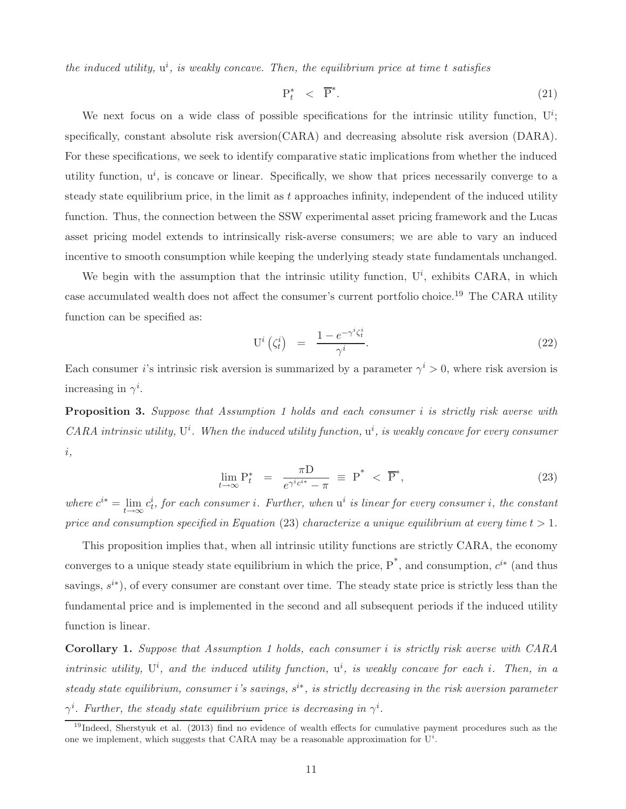*the induced utility,*  $u^i$ *, is weakly concave. Then, the equilibrium price at time t satisfies* 

$$
\mathbf{P}_t^* \quad < \quad \overline{\mathbf{P}}^* \tag{21}
$$

We next focus on a wide class of possible specifications for the intrinsic utility function,  $U^i$ ; specifically, constant absolute risk aversion(CARA) and decreasing absolute risk aversion (DARA). For these specifications, we seek to identify comparative static implications from whether the induced utility function,  $u^i$ , is concave or linear. Specifically, we show that prices necessarily converge to a steady state equilibrium price, in the limit as  $t$  approaches infinity, independent of the induced utility function. Thus, the connection between the SSW experimental asset pricing framework and the Lucas asset pricing model extends to intrinsically risk-averse consumers; we are able to vary an induced incentive to smooth consumption while keeping the underlying steady state fundamentals unchanged.

We begin with the assumption that the intrinsic utility function,  $U^i$ , exhibits CARA, in which case accumulated wealth does not affect the consumer's current portfolio choice.<sup>19</sup> The CARA utility function can be specified as:

$$
U^{i}\left(\zeta_{t}^{i}\right) = \frac{1 - e^{-\gamma^{i}\zeta_{t}^{i}}}{\gamma^{i}}.
$$
\n(22)

Each consumer i's intrinsic risk aversion is summarized by a parameter  $\gamma^i > 0$ , where risk aversion is increasing in  $\gamma^i$ .

**Proposition 3.** *Suppose that Assumption 1 holds and each consumer* i *is strictly risk averse with CARA intrinsic utility,*  $U^i$ . When the induced utility function,  $u^i$ , is weakly concave for every consumer i*,*

$$
\lim_{t \to \infty} \mathcal{P}_t^* = \frac{\pi \mathcal{D}}{e^{\gamma^i c^{i*} - \pi}} \equiv \mathcal{P}^* < \overline{\mathcal{P}}^*,\tag{23}
$$

 $where \ c^{i*} = \lim_{t \to \infty} c_t^i$ , for each consumer *i*. Further, when  $u^i$  *is linear for every consumer i, the constant price and consumption specified in Equation* (23) *characterize a unique equilibrium at every time*  $t > 1$ *.* 

This proposition implies that, when all intrinsic utility functions are strictly CARA, the economy converges to a unique steady state equilibrium in which the price,  $P^*$ , and consumption,  $c^{i*}$  (and thus savings,  $s^{i*}$ ), of every consumer are constant over time. The steady state price is strictly less than the fundamental price and is implemented in the second and all subsequent periods if the induced utility function is linear.

**Corollary 1.** *Suppose that Assumption 1 holds, each consumer* i *is strictly risk averse with CARA intrinsic utility,*  $U^i$ *, and the induced utility function,*  $u^i$ *, is weakly concave for each i. Then, in a steady state equilibrium, consumer* i*'s savings,* si∗*, is strictly decreasing in the risk aversion parameter*  $\gamma^i$ . Further, the steady state equilibrium price is decreasing in  $\gamma^i$ .

 $19$ Indeed, Sherstyuk et al. (2013) find no evidence of wealth effects for cumulative payment procedures such as the one we implement, which suggests that CARA may be a reasonable approximation for  $U^i$ .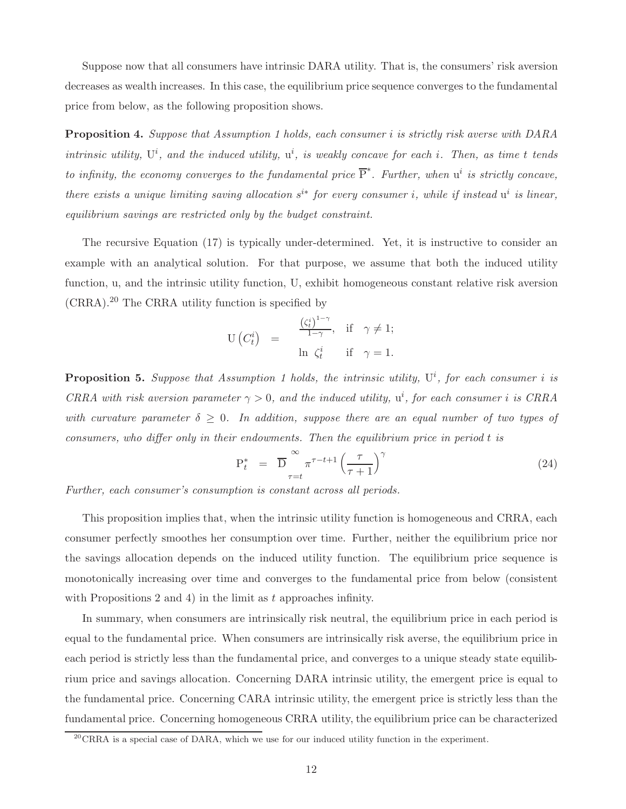Suppose now that all consumers have intrinsic DARA utility. That is, the consumers' risk aversion decreases as wealth increases. In this case, the equilibrium price sequence converges to the fundamental price from below, as the following proposition shows.

**Proposition 4.** *Suppose that Assumption 1 holds, each consumer* i *is strictly risk averse with DARA intrinsic utility*,  $U^i$ *, and the induced utility,*  $u^i$ *, is weakly concave for each i. Then, as time t tends to infinity, the economy converges to the fundamental price* P<sup>∗</sup> *. Further, when* u<sup>i</sup> *is strictly concave, there exists a unique limiting saving allocation*  $s<sup>i∗</sup>$  *for every consumer i*, while *if instead* u<sup>*i*</sup> *is linear*, *equilibrium savings are restricted only by the budget constraint.*

The recursive Equation (17) is typically under-determined. Yet, it is instructive to consider an example with an analytical solution. For that purpose, we assume that both the induced utility function, u, and the intrinsic utility function, U, exhibit homogeneous constant relative risk aversion  $(CRRA).^{20}$  The CRRA utility function is specified by

$$
U(C_t^i) = \frac{\frac{(\zeta_t^i)^{1-\gamma}}{1-\gamma}}, \text{ if } \gamma \neq 1;
$$
  

$$
\ln \zeta_t^i \text{ if } \gamma = 1.
$$

**Proposition 5.** Suppose that Assumption 1 holds, the intrinsic utility,  $U^i$ , for each consumer i is *CRRA with risk aversion parameter*  $\gamma > 0$ , and the induced utility,  $u^i$ , for each consumer i is CRRA *with curvature parameter*  $\delta \geq 0$ . In addition, suppose there are an equal number of two types of *consumers, who differ only in their endowments. Then the equilibrium price in period t is* 

$$
P_t^* = \overline{D}_{\tau=t}^{\infty} \pi^{\tau-t+1} \left(\frac{\tau}{\tau+1}\right)^{\gamma}
$$
 (24)

*Further, each consumer's consumption is constant across all periods.*

This proposition implies that, when the intrinsic utility function is homogeneous and CRRA, each consumer perfectly smoothes her consumption over time. Further, neither the equilibrium price nor the savings allocation depends on the induced utility function. The equilibrium price sequence is monotonically increasing over time and converges to the fundamental price from below (consistent with Propositions 2 and 4) in the limit as  $t$  approaches infinity.

In summary, when consumers are intrinsically risk neutral, the equilibrium price in each period is equal to the fundamental price. When consumers are intrinsically risk averse, the equilibrium price in each period is strictly less than the fundamental price, and converges to a unique steady state equilibrium price and savings allocation. Concerning DARA intrinsic utility, the emergent price is equal to the fundamental price. Concerning CARA intrinsic utility, the emergent price is strictly less than the fundamental price. Concerning homogeneous CRRA utility, the equilibrium price can be characterized

 $^{20}$ CRRA is a special case of DARA, which we use for our induced utility function in the experiment.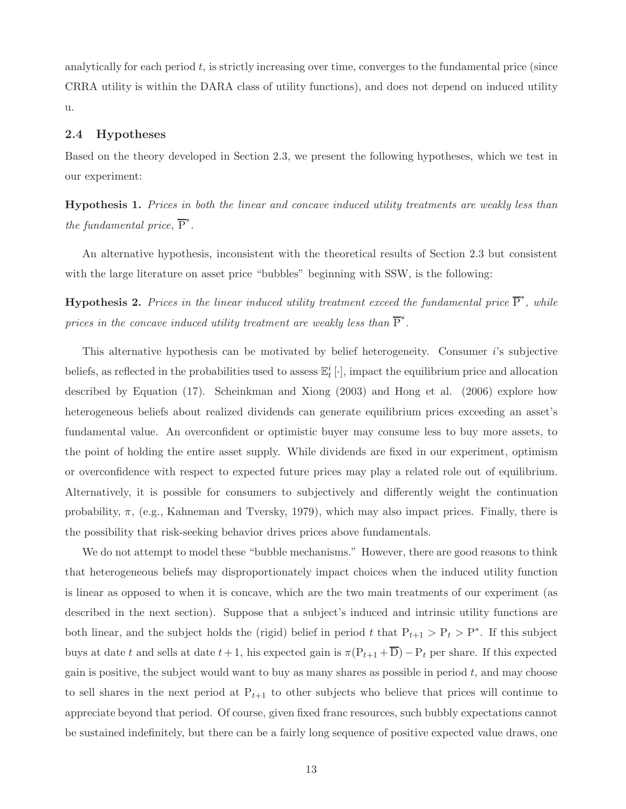analytically for each period  $t$ , is strictly increasing over time, converges to the fundamental price (since CRRA utility is within the DARA class of utility functions), and does not depend on induced utility u.

### **2.4 Hypotheses**

Based on the theory developed in Section 2.3, we present the following hypotheses, which we test in our experiment:

**Hypothesis 1.** *Prices in both the linear and concave induced utility treatments are weakly less than the fundamental price,*  $\overline{P}^*$ *.* 

An alternative hypothesis, inconsistent with the theoretical results of Section 2.3 but consistent with the large literature on asset price "bubbles" beginning with SSW, is the following:

**Hypothesis 2.** Prices in the linear induced utility treatment exceed the fundamental price  $\overline{P}^*$ , while *prices in the concave induced utility treatment are weakly less than*  $\overline{P}^*$ .

This alternative hypothesis can be motivated by belief heterogeneity. Consumer i's subjective beliefs, as reflected in the probabilities used to assess  $\mathbb{E}_t^i[\cdot]$ , impact the equilibrium price and allocation described by Equation (17). Scheinkman and Xiong (2003) and Hong et al. (2006) explore how heterogeneous beliefs about realized dividends can generate equilibrium prices exceeding an asset's fundamental value. An overconfident or optimistic buyer may consume less to buy more assets, to the point of holding the entire asset supply. While dividends are fixed in our experiment, optimism or overconfidence with respect to expected future prices may play a related role out of equilibrium. Alternatively, it is possible for consumers to subjectively and differently weight the continuation probability,  $\pi$ , (e.g., Kahneman and Tversky, 1979), which may also impact prices. Finally, there is the possibility that risk-seeking behavior drives prices above fundamentals.

We do not attempt to model these "bubble mechanisms." However, there are good reasons to think that heterogeneous beliefs may disproportionately impact choices when the induced utility function is linear as opposed to when it is concave, which are the two main treatments of our experiment (as described in the next section). Suppose that a subject's induced and intrinsic utility functions are both linear, and the subject holds the (rigid) belief in period t that  $P_{t+1} > P_t > P^*$ . If this subject buys at date t and sells at date  $t+1$ , his expected gain is  $\pi(P_{t+1} + \overline{D}) - P_t$  per share. If this expected gain is positive, the subject would want to buy as many shares as possible in period  $t$ , and may choose to sell shares in the next period at  $P_{t+1}$  to other subjects who believe that prices will continue to appreciate beyond that period. Of course, given fixed franc resources, such bubbly expectations cannot be sustained indefinitely, but there can be a fairly long sequence of positive expected value draws, one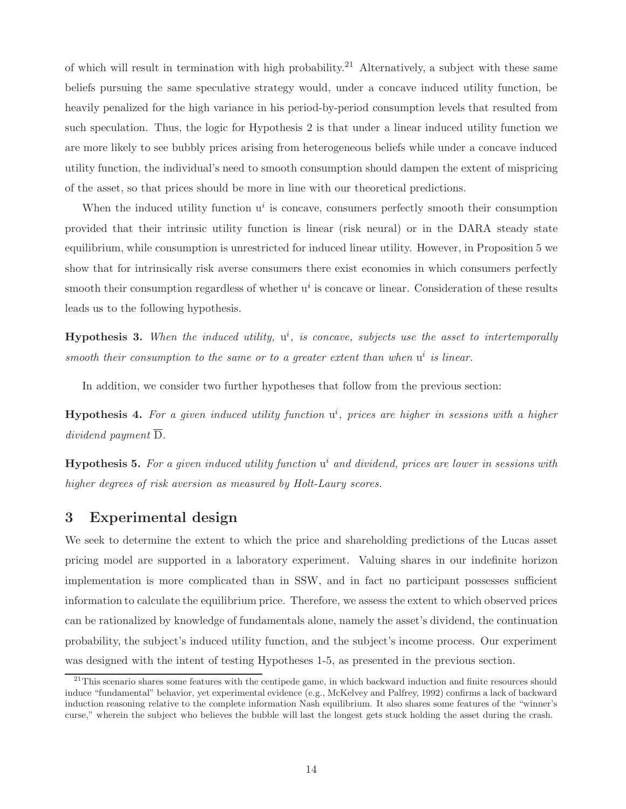of which will result in termination with high probability.<sup>21</sup> Alternatively, a subject with these same beliefs pursuing the same speculative strategy would, under a concave induced utility function, be heavily penalized for the high variance in his period-by-period consumption levels that resulted from such speculation. Thus, the logic for Hypothesis 2 is that under a linear induced utility function we are more likely to see bubbly prices arising from heterogeneous beliefs while under a concave induced utility function, the individual's need to smooth consumption should dampen the extent of mispricing of the asset, so that prices should be more in line with our theoretical predictions.

When the induced utility function  $u^i$  is concave, consumers perfectly smooth their consumption provided that their intrinsic utility function is linear (risk neural) or in the DARA steady state equilibrium, while consumption is unrestricted for induced linear utility. However, in Proposition 5 we show that for intrinsically risk averse consumers there exist economies in which consumers perfectly smooth their consumption regardless of whether  $u^i$  is concave or linear. Consideration of these results leads us to the following hypothesis.

**Hypothesis 3.** When the induced utility,  $u^i$ , is concave, subjects use the asset to intertemporally *smooth their consumption to the same or to a greater extent than when*  $u^i$  *is linear.* 

In addition, we consider two further hypotheses that follow from the previous section:

**Hypothesis 4.** *For a given induced utility function* u<sup>i</sup> *, prices are higher in sessions with a higher dividend payment*  $\overline{D}$ *.* 

**Hypothesis 5.** *For a given induced utility function* u<sup>i</sup> *and dividend, prices are lower in sessions with higher degrees of risk aversion as measured by Holt-Laury scores.*

### **3 Experimental design**

We seek to determine the extent to which the price and shareholding predictions of the Lucas asset pricing model are supported in a laboratory experiment. Valuing shares in our indefinite horizon implementation is more complicated than in SSW, and in fact no participant possesses sufficient information to calculate the equilibrium price. Therefore, we assess the extent to which observed prices can be rationalized by knowledge of fundamentals alone, namely the asset's dividend, the continuation probability, the subject's induced utility function, and the subject's income process. Our experiment was designed with the intent of testing Hypotheses 1-5, as presented in the previous section.

 $21$ This scenario shares some features with the centipede game, in which backward induction and finite resources should induce "fundamental" behavior, yet experimental evidence (e.g., McKelvey and Palfrey, 1992) confirms a lack of backward induction reasoning relative to the complete information Nash equilibrium. It also shares some features of the "winner's curse," wherein the subject who believes the bubble will last the longest gets stuck holding the asset during the crash.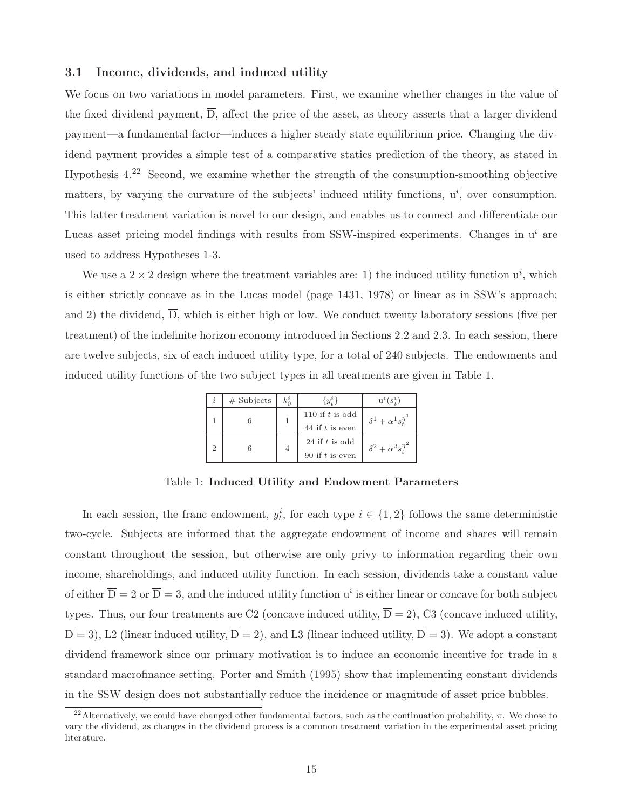### **3.1 Income, dividends, and induced utility**

We focus on two variations in model parameters. First, we examine whether changes in the value of the fixed dividend payment,  $\overline{D}$ , affect the price of the asset, as theory asserts that a larger dividend payment—a fundamental factor—induces a higher steady state equilibrium price. Changing the dividend payment provides a simple test of a comparative statics prediction of the theory, as stated in Hypothesis 4.<sup>22</sup> Second, we examine whether the strength of the consumption-smoothing objective matters, by varying the curvature of the subjects' induced utility functions,  $u^i$ , over consumption. This latter treatment variation is novel to our design, and enables us to connect and differentiate our Lucas asset pricing model findings with results from SSW-inspired experiments. Changes in  $u^i$  are used to address Hypotheses 1-3.

We use a  $2 \times 2$  design where the treatment variables are: 1) the induced utility function  $u^i$ , which is either strictly concave as in the Lucas model (page 1431, 1978) or linear as in SSW's approach; and 2) the dividend,  $\overline{D}$ , which is either high or low. We conduct twenty laboratory sessions (five per treatment) of the indefinite horizon economy introduced in Sections 2.2 and 2.3. In each session, there are twelve subjects, six of each induced utility type, for a total of 240 subjects. The endowments and induced utility functions of the two subject types in all treatments are given in Table 1.

| $#$ Subjects | $k_0^i$        | $\{y_i^i\}$                            | $u^i(s^i)$                         |
|--------------|----------------|----------------------------------------|------------------------------------|
|              |                | 110 if $t$ is odd<br>44 if $t$ is even | $\delta^1 + \alpha^1 s^{\eta^1}$   |
|              | $\overline{4}$ | 24 if $t$ is odd<br>90 if $t$ is even  | $\delta^2 + \alpha^2 s_t^{\eta^2}$ |

Table 1: **Induced Utility and Endowment Parameters**

In each session, the franc endowment,  $y_t^i$ , for each type  $i \in \{1,2\}$  follows the same deterministic two-cycle. Subjects are informed that the aggregate endowment of income and shares will remain constant throughout the session, but otherwise are only privy to information regarding their own income, shareholdings, and induced utility function. In each session, dividends take a constant value of either  $\overline{D} = 2$  or  $\overline{D} = 3$ , and the induced utility function  $u^i$  is either linear or concave for both subject types. Thus, our four treatments are C2 (concave induced utility,  $\overline{D} = 2$ ), C3 (concave induced utility,  $\overline{D} = 3$ , L2 (linear induced utility,  $\overline{D} = 2$ ), and L3 (linear induced utility,  $\overline{D} = 3$ ). We adopt a constant dividend framework since our primary motivation is to induce an economic incentive for trade in a standard macrofinance setting. Porter and Smith (1995) show that implementing constant dividends in the SSW design does not substantially reduce the incidence or magnitude of asset price bubbles.

<sup>&</sup>lt;sup>22</sup>Alternatively, we could have changed other fundamental factors, such as the continuation probability,  $\pi$ . We chose to vary the dividend, as changes in the dividend process is a common treatment variation in the experimental asset pricing literature.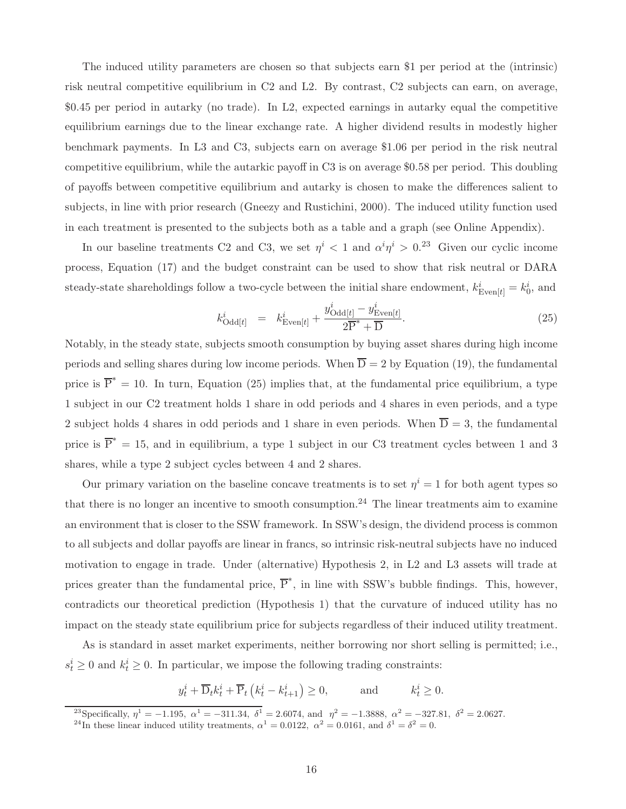The induced utility parameters are chosen so that subjects earn \$1 per period at the (intrinsic) risk neutral competitive equilibrium in C2 and L2. By contrast, C2 subjects can earn, on average, \$0.45 per period in autarky (no trade). In L2, expected earnings in autarky equal the competitive equilibrium earnings due to the linear exchange rate. A higher dividend results in modestly higher benchmark payments. In L3 and C3, subjects earn on average \$1.06 per period in the risk neutral competitive equilibrium, while the autarkic payoff in C3 is on average \$0.58 per period. This doubling of payoffs between competitive equilibrium and autarky is chosen to make the differences salient to subjects, in line with prior research (Gneezy and Rustichini, 2000). The induced utility function used in each treatment is presented to the subjects both as a table and a graph (see Online Appendix).

In our baseline treatments C2 and C3, we set  $\eta^{i} < 1$  and  $\alpha^{i} \eta^{i} > 0$ .<sup>23</sup> Given our cyclic income process, Equation (17) and the budget constraint can be used to show that risk neutral or DARA steady-state shareholdings follow a two-cycle between the initial share endowment,  $k_{\text{Even}[t]}^i = k_0^i$ , and

$$
k_{\text{Odd}[t]}^i = k_{\text{Even}[t]}^i + \frac{y_{\text{Odd}[t]}^i - y_{\text{Even}[t]}^i}{2\overline{P}^* + \overline{D}}.
$$
\n(25)

Notably, in the steady state, subjects smooth consumption by buying asset shares during high income periods and selling shares during low income periods. When  $\overline{D} = 2$  by Equation (19), the fundamental price is  $\overline{P}^* = 10$ . In turn, Equation (25) implies that, at the fundamental price equilibrium, a type 1 subject in our C2 treatment holds 1 share in odd periods and 4 shares in even periods, and a type 2 subject holds 4 shares in odd periods and 1 share in even periods. When  $\overline{D} = 3$ , the fundamental price is  $\overline{P}^* = 15$ , and in equilibrium, a type 1 subject in our C3 treatment cycles between 1 and 3 shares, while a type 2 subject cycles between 4 and 2 shares.

Our primary variation on the baseline concave treatments is to set  $\eta^i = 1$  for both agent types so that there is no longer an incentive to smooth consumption.<sup>24</sup> The linear treatments aim to examine an environment that is closer to the SSW framework. In SSW's design, the dividend process is common to all subjects and dollar payoffs are linear in francs, so intrinsic risk-neutral subjects have no induced motivation to engage in trade. Under (alternative) Hypothesis 2, in L2 and L3 assets will trade at prices greater than the fundamental price,  $\overline{P}^*$ , in line with SSW's bubble findings. This, however, contradicts our theoretical prediction (Hypothesis 1) that the curvature of induced utility has no impact on the steady state equilibrium price for subjects regardless of their induced utility treatment.

As is standard in asset market experiments, neither borrowing nor short selling is permitted; i.e.,  $s_t^i \geq 0$  and  $k_t^i \geq 0$ . In particular, we impose the following trading constraints:

$$
y_t^i + \overline{\mathcal{D}}_t k_t^i + \overline{\mathcal{P}}_t \left( k_t^i - k_{t+1}^i \right) \ge 0, \qquad \text{and} \qquad k_t^i \ge 0.
$$

<sup>&</sup>lt;sup>23</sup>Specifically,  $\eta^1 = -1.195$ ,  $\alpha^1 = -311.34$ ,  $\delta^1 = 2.6074$ , and  $\eta^2 = -1.3888$ ,  $\alpha^2 = -327.81$ ,  $\delta^2 = 2.0627$ .

<sup>&</sup>lt;sup>24</sup>In these linear induced utility treatments,  $\alpha^1 = 0.0122$ ,  $\alpha^2 = 0.0161$ , and  $\delta^1 = \delta^2 = 0$ .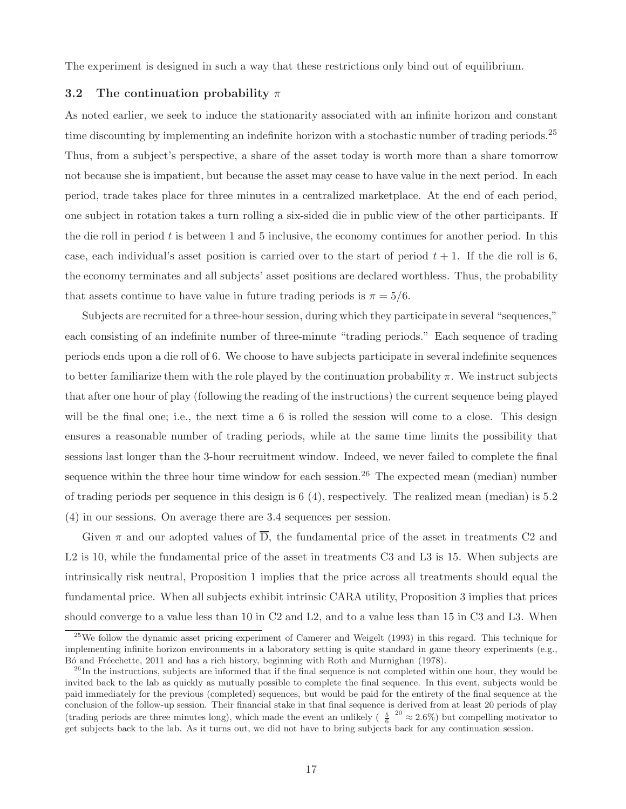The experiment is designed in such a way that these restrictions only bind out of equilibrium.

#### **3.2 The continuation probability** π

As noted earlier, we seek to induce the stationarity associated with an infinite horizon and constant time discounting by implementing an indefinite horizon with a stochastic number of trading periods.<sup>25</sup> Thus, from a subject's perspective, a share of the asset today is worth more than a share tomorrow not because she is impatient, but because the asset may cease to have value in the next period. In each period, trade takes place for three minutes in a centralized marketplace. At the end of each period, one subject in rotation takes a turn rolling a six-sided die in public view of the other participants. If the die roll in period  $t$  is between 1 and 5 inclusive, the economy continues for another period. In this case, each individual's asset position is carried over to the start of period  $t + 1$ . If the die roll is 6, the economy terminates and all subjects' asset positions are declared worthless. Thus, the probability that assets continue to have value in future trading periods is  $\pi = 5/6$ .

Subjects are recruited for a three-hour session, during which they participate in several "sequences," each consisting of an indefinite number of three-minute "trading periods." Each sequence of trading periods ends upon a die roll of 6. We choose to have subjects participate in several indefinite sequences to better familiarize them with the role played by the continuation probability  $\pi$ . We instruct subjects that after one hour of play (following the reading of the instructions) the current sequence being played will be the final one; i.e., the next time a 6 is rolled the session will come to a close. This design ensures a reasonable number of trading periods, while at the same time limits the possibility that sessions last longer than the 3-hour recruitment window. Indeed, we never failed to complete the final sequence within the three hour time window for each session.<sup>26</sup> The expected mean (median) number of trading periods per sequence in this design is 6 (4), respectively. The realized mean (median) is 5.2 (4) in our sessions. On average there are 3.4 sequences per session.

Given  $\pi$  and our adopted values of  $\overline{D}$ , the fundamental price of the asset in treatments C2 and L2 is 10, while the fundamental price of the asset in treatments C3 and L3 is 15. When subjects are intrinsically risk neutral, Proposition 1 implies that the price across all treatments should equal the fundamental price. When all subjects exhibit intrinsic CARA utility, Proposition 3 implies that prices should converge to a value less than 10 in C2 and L2, and to a value less than 15 in C3 and L3. When

 $25$ We follow the dynamic asset pricing experiment of Camerer and Weigelt (1993) in this regard. This technique for implementing infinite horizon environments in a laboratory setting is quite standard in game theory experiments (e.g., B<sup>o</sup> and Fréechette, 2011 and has a rich history, beginning with Roth and Murnighan (1978).

 $^{26}$ In the instructions, subjects are informed that if the final sequence is not completed within one hour, they would be invited back to the lab as quickly as mutually possible to complete the final sequence. In this event, subjects would be paid immediately for the previous (completed) sequences, but would be paid for the entirety of the final sequence at the conclusion of the follow-up session. Their financial stake in that final sequence is derived from at least 20 periods of play (trading periods are three minutes long), which made the event an unlikely ( $\frac{5}{6}^{20} \approx 2.6\%$ ) but compelling motivator to get subjects back to the lab. As it turns out, we did not have to bring subjects back for any continuation session.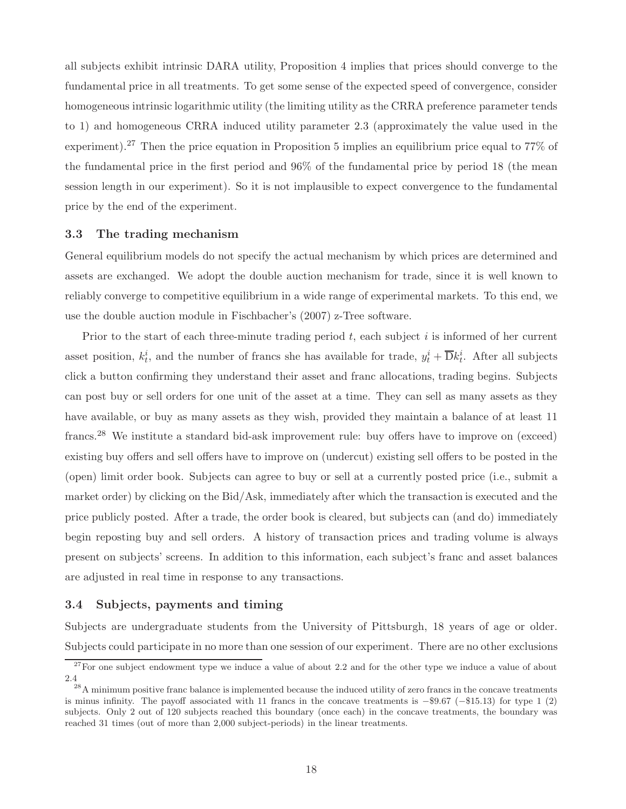all subjects exhibit intrinsic DARA utility, Proposition 4 implies that prices should converge to the fundamental price in all treatments. To get some sense of the expected speed of convergence, consider homogeneous intrinsic logarithmic utility (the limiting utility as the CRRA preference parameter tends to 1) and homogeneous CRRA induced utility parameter 2.3 (approximately the value used in the experiment).<sup>27</sup> Then the price equation in Proposition 5 implies an equilibrium price equal to 77% of the fundamental price in the first period and 96% of the fundamental price by period 18 (the mean session length in our experiment). So it is not implausible to expect convergence to the fundamental price by the end of the experiment.

#### **3.3 The trading mechanism**

General equilibrium models do not specify the actual mechanism by which prices are determined and assets are exchanged. We adopt the double auction mechanism for trade, since it is well known to reliably converge to competitive equilibrium in a wide range of experimental markets. To this end, we use the double auction module in Fischbacher's (2007) z-Tree software.

Prior to the start of each three-minute trading period  $t$ , each subject  $i$  is informed of her current asset position,  $k_t^i$ , and the number of francs she has available for trade,  $y_t^i + \overline{D}k_t^i$ . After all subjects click a button confirming they understand their asset and franc allocations, trading begins. Subjects can post buy or sell orders for one unit of the asset at a time. They can sell as many assets as they have available, or buy as many assets as they wish, provided they maintain a balance of at least 11 francs.<sup>28</sup> We institute a standard bid-ask improvement rule: buy offers have to improve on (exceed) existing buy offers and sell offers have to improve on (undercut) existing sell offers to be posted in the (open) limit order book. Subjects can agree to buy or sell at a currently posted price (i.e., submit a market order) by clicking on the Bid/Ask, immediately after which the transaction is executed and the price publicly posted. After a trade, the order book is cleared, but subjects can (and do) immediately begin reposting buy and sell orders. A history of transaction prices and trading volume is always present on subjects' screens. In addition to this information, each subject's franc and asset balances are adjusted in real time in response to any transactions.

### **3.4 Subjects, payments and timing**

Subjects are undergraduate students from the University of Pittsburgh, 18 years of age or older. Subjects could participate in no more than one session of our experiment. There are no other exclusions

 $27$  For one subject endowment type we induce a value of about 2.2 and for the other type we induce a value of about 2.4

<sup>&</sup>lt;sup>28</sup>A minimum positive franc balance is implemented because the induced utility of zero francs in the concave treatments is minus infinity. The payoff associated with 11 francs in the concave treatments is  $-$9.67 (-$15.13)$  for type 1 (2) subjects. Only 2 out of 120 subjects reached this boundary (once each) in the concave treatments, the boundary was reached 31 times (out of more than 2,000 subject-periods) in the linear treatments.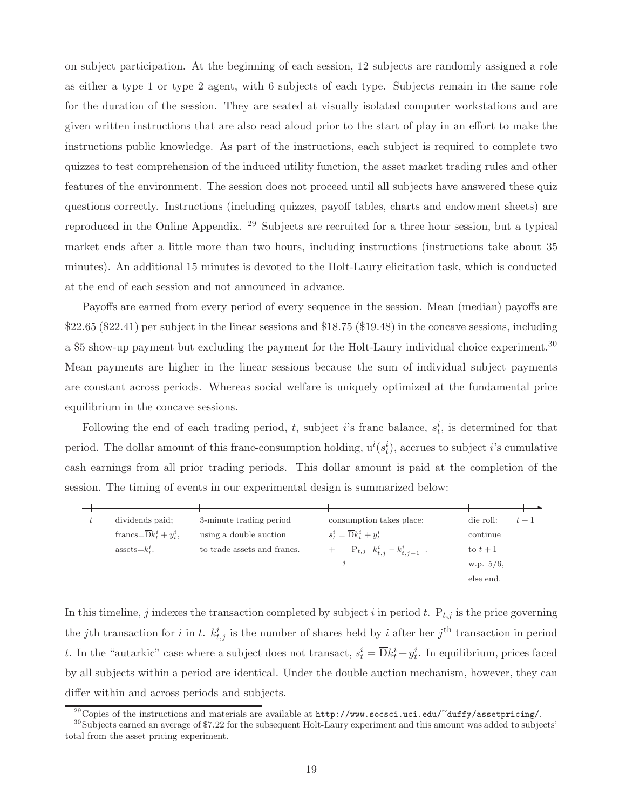on subject participation. At the beginning of each session, 12 subjects are randomly assigned a role as either a type 1 or type 2 agent, with 6 subjects of each type. Subjects remain in the same role for the duration of the session. They are seated at visually isolated computer workstations and are given written instructions that are also read aloud prior to the start of play in an effort to make the instructions public knowledge. As part of the instructions, each subject is required to complete two quizzes to test comprehension of the induced utility function, the asset market trading rules and other features of the environment. The session does not proceed until all subjects have answered these quiz questions correctly. Instructions (including quizzes, payoff tables, charts and endowment sheets) are reproduced in the Online Appendix. <sup>29</sup> Subjects are recruited for a three hour session, but a typical market ends after a little more than two hours, including instructions (instructions take about 35 minutes). An additional 15 minutes is devoted to the Holt-Laury elicitation task, which is conducted at the end of each session and not announced in advance.

Payoffs are earned from every period of every sequence in the session. Mean (median) payoffs are \$22.65 (\$22.41) per subject in the linear sessions and \$18.75 (\$19.48) in the concave sessions, including a \$5 show-up payment but excluding the payment for the Holt-Laury individual choice experiment.<sup>30</sup> Mean payments are higher in the linear sessions because the sum of individual subject payments are constant across periods. Whereas social welfare is uniquely optimized at the fundamental price equilibrium in the concave sessions.

Following the end of each trading period, t, subject i's franc balance,  $s_t^i$ , is determined for that period. The dollar amount of this franc-consumption holding,  $u^{i}(s_t^i)$ , accrues to subject *i*'s cumulative cash earnings from all prior trading periods. This dollar amount is paid at the completion of the session. The timing of events in our experimental design is summarized below:

| dividends paid;                       | 3-minute trading period     | consumption takes place:                    | die roll:<br>$t+1$ |
|---------------------------------------|-----------------------------|---------------------------------------------|--------------------|
| francs= $\overline{D}k_t^i + y_t^i$ , | using a double auction      | $s_t^i = \overline{D}k_t^i + y_t^i$         | continue           |
| assets= $k_t^i$ .                     | to trade assets and francs. | $P_{t,j}$ $k_{t,j}^{i}$ $- k_{t,i-1}^{i}$ . | to $t+1$           |
|                                       |                             |                                             | w.p. $5/6$ ,       |
|                                       |                             |                                             | else end.          |

In this timeline, j indexes the transaction completed by subject i in period t.  $P_{t,j}$  is the price governing the jth transaction for i in t.  $k_{t,j}^i$  is the number of shares held by i after her j<sup>th</sup> transaction in period t. In the "autarkic" case where a subject does not transact,  $s_t^i = \overline{D}k_t^i + y_t^i$ . In equilibrium, prices faced by all subjects within a period are identical. Under the double auction mechanism, however, they can differ within and across periods and subjects.

<sup>29</sup>Copies of the instructions and materials are available at http://www.socsci.uci.edu/<sup>∼</sup>duffy/assetpricing/.

<sup>30</sup>Subjects earned an average of \$7.22 for the subsequent Holt-Laury experiment and this amount was added to subjects' total from the asset pricing experiment.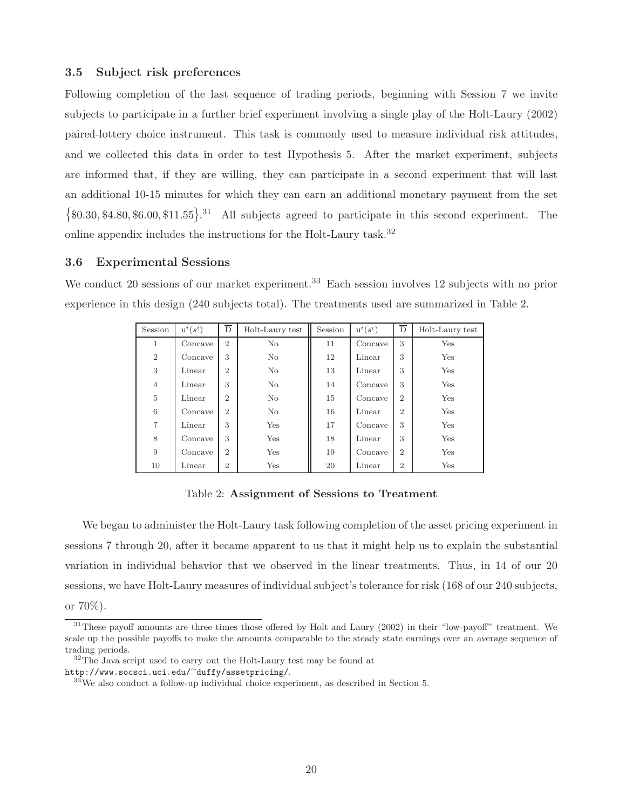### **3.5 Subject risk preferences**

Following completion of the last sequence of trading periods, beginning with Session 7 we invite subjects to participate in a further brief experiment involving a single play of the Holt-Laury (2002) paired-lottery choice instrument. This task is commonly used to measure individual risk attitudes, and we collected this data in order to test Hypothesis 5. After the market experiment, subjects are informed that, if they are willing, they can participate in a second experiment that will last an additional 10-15 minutes for which they can earn an additional monetary payment from the set  $\{\$0.30, \$4.80, \$6.00, \$11.55\}$ <sup>31</sup> All subjects agreed to participate in this second experiment. The online appendix includes the instructions for the Holt-Laury task.<sup>32</sup>

#### **3.6 Experimental Sessions**

We conduct 20 sessions of our market experiment.<sup>33</sup> Each session involves 12 subjects with no prior experience in this design (240 subjects total). The treatments used are summarized in Table 2.

| Session        | $u^i(s^i)$ | $\overline{\rm D}$ | Holt-Laury test | Session | $u^i(s^i)$ | $\overline{\rm D}$ | Holt-Laury test |
|----------------|------------|--------------------|-----------------|---------|------------|--------------------|-----------------|
| $\mathbf{1}$   | Concave    | $\overline{2}$     | $\rm No$        | 11      | Concave    | 3                  | Yes             |
| $\overline{2}$ | Concave    | 3                  | $\rm No$        | 12      | Linear     | 3                  | Yes             |
| 3              | Linear     | $\overline{2}$     | $\rm No$        | 13      | Linear     | 3                  | Yes             |
| $\overline{4}$ | Linear     | 3                  | $\rm No$        | 14      | Concave    | 3                  | Yes             |
| 5              | Linear     | $\overline{2}$     | $\rm No$        | 15      | Concave    | $\overline{2}$     | Yes             |
| 6              | Concave    | $\overline{2}$     | $\rm No$        | 16      | Linear     | $\overline{2}$     | Yes             |
| $\overline{7}$ | Linear     | 3                  | Yes             | 17      | Concave    | 3                  | Yes             |
| 8              | Concave    | 3                  | Yes             | 18      | Linear     | 3                  | Yes             |
| 9              | Concave    | $\overline{2}$     | Yes             | 19      | Concave    | $\overline{2}$     | Yes             |
| 10             | Linear     | $\overline{2}$     | Yes             | 20      | Linear     | $\overline{2}$     | Yes             |

Table 2: **Assignment of Sessions to Treatment**

We began to administer the Holt-Laury task following completion of the asset pricing experiment in sessions 7 through 20, after it became apparent to us that it might help us to explain the substantial variation in individual behavior that we observed in the linear treatments. Thus, in 14 of our 20 sessions, we have Holt-Laury measures of individual subject's tolerance for risk (168 of our 240 subjects, or 70%).

 $31$ These payoff amounts are three times those offered by Holt and Laury (2002) in their "low-payoff" treatment. We scale up the possible payoffs to make the amounts comparable to the steady state earnings over an average sequence of trading periods.

 $32$ The Java script used to carry out the Holt-Laury test may be found at

http://www.socsci.uci.edu/<sup>∼</sup>duffy/assetpricing/.

<sup>33</sup>We also conduct a follow-up individual choice experiment, as described in Section 5.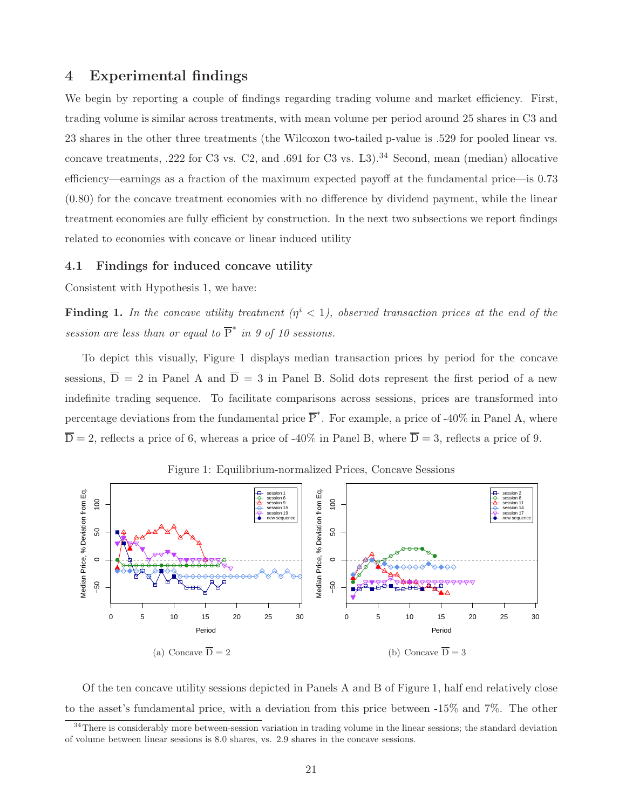## **4 Experimental findings**

We begin by reporting a couple of findings regarding trading volume and market efficiency. First, trading volume is similar across treatments, with mean volume per period around 25 shares in C3 and 23 shares in the other three treatments (the Wilcoxon two-tailed p-value is .529 for pooled linear vs. concave treatments, .222 for C3 vs. C2, and .691 for C3 vs. L3).<sup>34</sup> Second, mean (median) allocative efficiency—earnings as a fraction of the maximum expected payoff at the fundamental price—is 0.73 (0.80) for the concave treatment economies with no difference by dividend payment, while the linear treatment economies are fully efficient by construction. In the next two subsections we report findings related to economies with concave or linear induced utility

### **4.1 Findings for induced concave utility**

Consistent with Hypothesis 1, we have:

**Finding 1.** In the concave utility treatment  $(\eta^{i} < 1)$ , observed transaction prices at the end of the *session are less than or equal to*  $\overline{P}^*$  *in 9 of 10 sessions.* 

To depict this visually, Figure 1 displays median transaction prices by period for the concave sessions,  $\overline{D} = 2$  in Panel A and  $\overline{D} = 3$  in Panel B. Solid dots represent the first period of a new indefinite trading sequence. To facilitate comparisons across sessions, prices are transformed into percentage deviations from the fundamental price  $\overline{P}^*$ . For example, a price of -40% in Panel A, where  $\overline{D} = 2$ , reflects a price of 6, whereas a price of -40% in Panel B, where  $\overline{D} = 3$ , reflects a price of 9.



Figure 1: Equilibrium-normalized Prices, Concave Sessions

Of the ten concave utility sessions depicted in Panels A and B of Figure 1, half end relatively close to the asset's fundamental price, with a deviation from this price between -15% and 7%. The other

 $34$ There is considerably more between-session variation in trading volume in the linear sessions; the standard deviation of volume between linear sessions is 8.0 shares, vs. 2.9 shares in the concave sessions.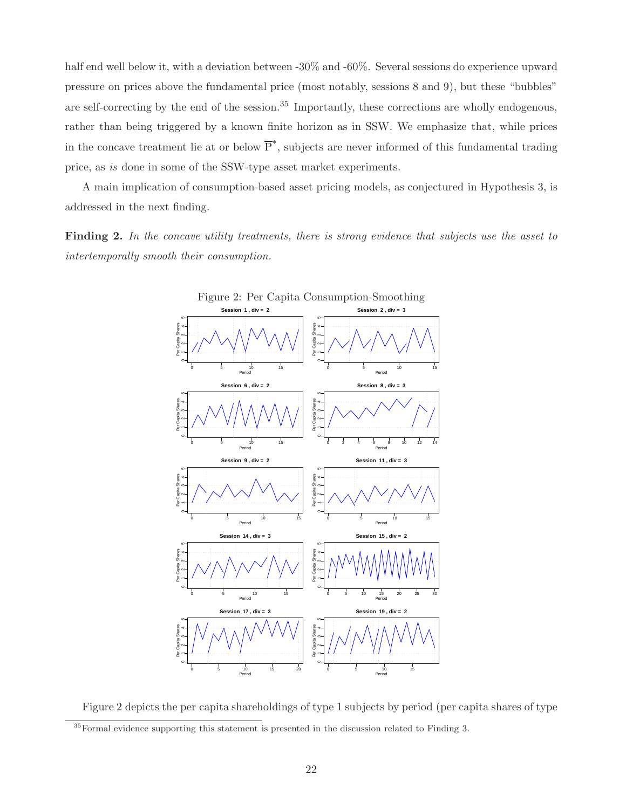half end well below it, with a deviation between -30% and -60%. Several sessions do experience upward pressure on prices above the fundamental price (most notably, sessions 8 and 9), but these "bubbles" are self-correcting by the end of the session.<sup>35</sup> Importantly, these corrections are wholly endogenous, rather than being triggered by a known finite horizon as in SSW. We emphasize that, while prices in the concave treatment lie at or below  $\overline{P}^*$ , subjects are never informed of this fundamental trading price, as *is* done in some of the SSW-type asset market experiments.

A main implication of consumption-based asset pricing models, as conjectured in Hypothesis 3, is addressed in the next finding.

**Finding 2.** *In the concave utility treatments, there is strong evidence that subjects use the asset to intertemporally smooth their consumption.*



Figure 2 depicts the per capita shareholdings of type 1 subjects by period (per capita shares of type

<sup>&</sup>lt;sup>35</sup> Formal evidence supporting this statement is presented in the discussion related to Finding 3.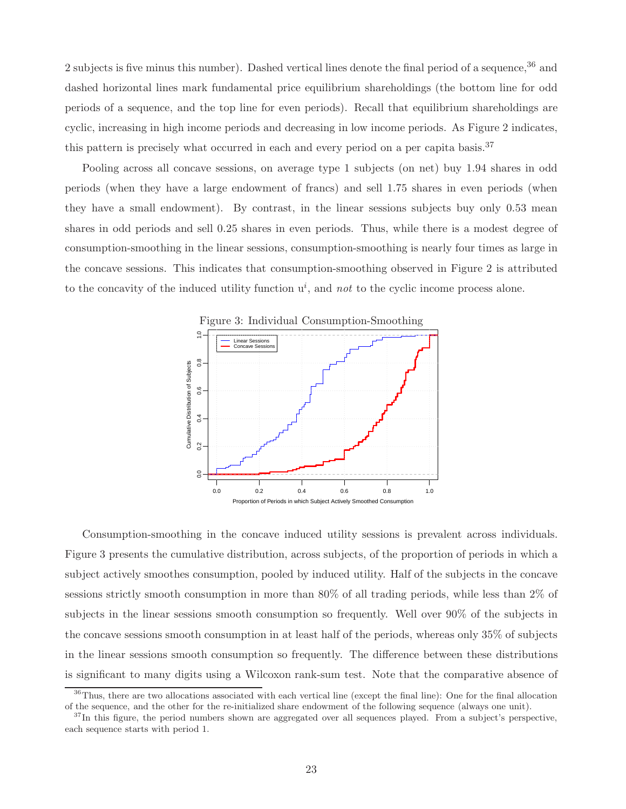2 subjects is five minus this number). Dashed vertical lines denote the final period of a sequence, <sup>36</sup> and dashed horizontal lines mark fundamental price equilibrium shareholdings (the bottom line for odd periods of a sequence, and the top line for even periods). Recall that equilibrium shareholdings are cyclic, increasing in high income periods and decreasing in low income periods. As Figure 2 indicates, this pattern is precisely what occurred in each and every period on a per capita basis.<sup>37</sup>

Pooling across all concave sessions, on average type 1 subjects (on net) buy 1.94 shares in odd periods (when they have a large endowment of francs) and sell 1.75 shares in even periods (when they have a small endowment). By contrast, in the linear sessions subjects buy only 0.53 mean shares in odd periods and sell 0.25 shares in even periods. Thus, while there is a modest degree of consumption-smoothing in the linear sessions, consumption-smoothing is nearly four times as large in the concave sessions. This indicates that consumption-smoothing observed in Figure 2 is attributed to the concavity of the induced utility function  $u^i$ , and *not* to the cyclic income process alone.



Consumption-smoothing in the concave induced utility sessions is prevalent across individuals. Figure 3 presents the cumulative distribution, across subjects, of the proportion of periods in which a subject actively smoothes consumption, pooled by induced utility. Half of the subjects in the concave sessions strictly smooth consumption in more than 80% of all trading periods, while less than 2% of subjects in the linear sessions smooth consumption so frequently. Well over 90% of the subjects in the concave sessions smooth consumption in at least half of the periods, whereas only 35% of subjects in the linear sessions smooth consumption so frequently. The difference between these distributions is significant to many digits using a Wilcoxon rank-sum test. Note that the comparative absence of

<sup>&</sup>lt;sup>36</sup>Thus, there are two allocations associated with each vertical line (except the final line): One for the final allocation of the sequence, and the other for the re-initialized share endowment of the following sequence (always one unit).

 $37$ In this figure, the period numbers shown are aggregated over all sequences played. From a subject's perspective, each sequence starts with period 1.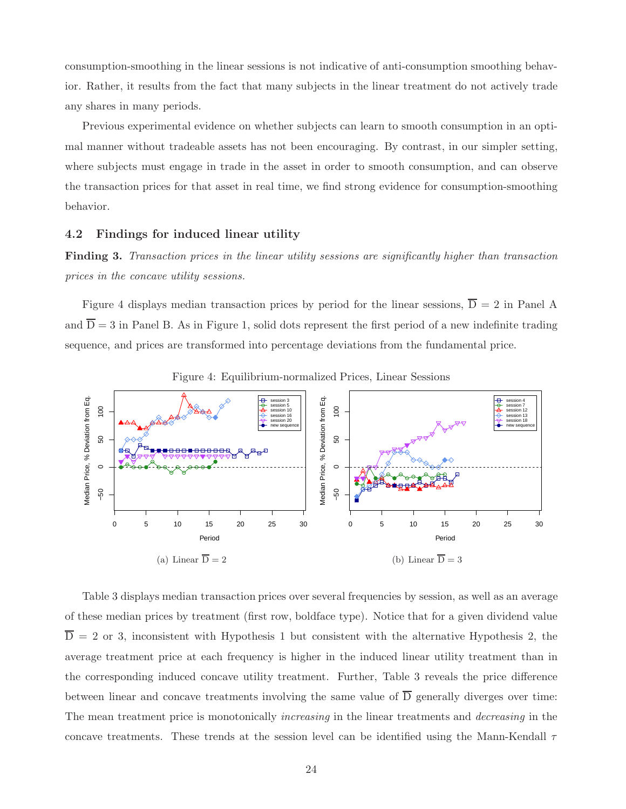consumption-smoothing in the linear sessions is not indicative of anti-consumption smoothing behavior. Rather, it results from the fact that many subjects in the linear treatment do not actively trade any shares in many periods.

Previous experimental evidence on whether subjects can learn to smooth consumption in an optimal manner without tradeable assets has not been encouraging. By contrast, in our simpler setting, where subjects must engage in trade in the asset in order to smooth consumption, and can observe the transaction prices for that asset in real time, we find strong evidence for consumption-smoothing behavior.

#### **4.2 Findings for induced linear utility**

**Finding 3.** *Transaction prices in the linear utility sessions are significantly higher than transaction prices in the concave utility sessions.*

Figure 4 displays median transaction prices by period for the linear sessions,  $\overline{D} = 2$  in Panel A and  $\overline{D} = 3$  in Panel B. As in Figure 1, solid dots represent the first period of a new indefinite trading sequence, and prices are transformed into percentage deviations from the fundamental price.



Figure 4: Equilibrium-normalized Prices, Linear Sessions

Table 3 displays median transaction prices over several frequencies by session, as well as an average of these median prices by treatment (first row, boldface type). Notice that for a given dividend value  $\overline{D} = 2$  or 3, inconsistent with Hypothesis 1 but consistent with the alternative Hypothesis 2, the average treatment price at each frequency is higher in the induced linear utility treatment than in the corresponding induced concave utility treatment. Further, Table 3 reveals the price difference between linear and concave treatments involving the same value of  $\overline{D}$  generally diverges over time: The mean treatment price is monotonically *increasing* in the linear treatments and *decreasing* in the concave treatments. These trends at the session level can be identified using the Mann-Kendall  $\tau$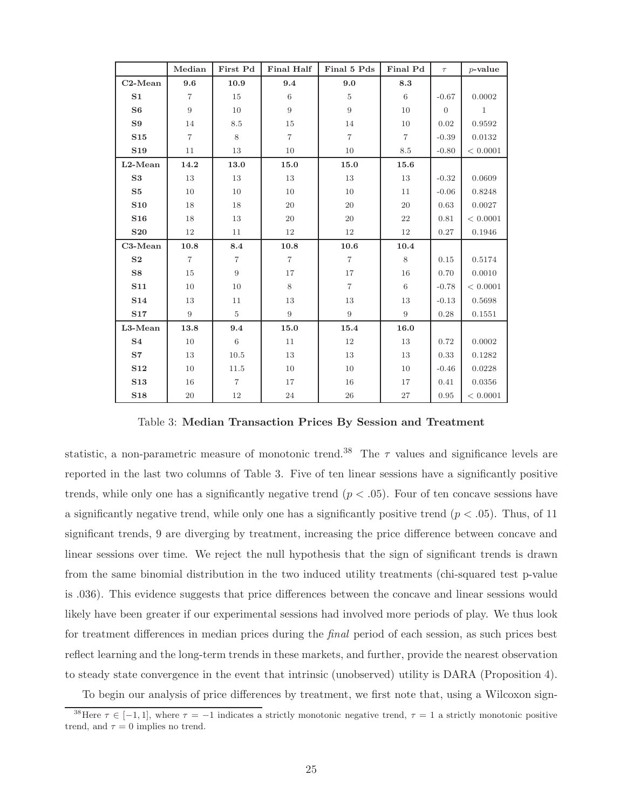|                 | Median         | First Pd       | <b>Final Half</b> | Final 5 Pds    | Final Pd       | $\tau$           | $p$ -value |
|-----------------|----------------|----------------|-------------------|----------------|----------------|------------------|------------|
| $C2$ -Mean      | 9.6            | 10.9           | 9.4               | 9.0            | 8.3            |                  |            |
| S1              | $\overline{7}$ | 15             | 6                 | $5\,$          | 6              | $-0.67$          | 0.0002     |
| S6              | 9              | 10             | 9                 | $9\phantom{.}$ | 10             | $\boldsymbol{0}$ | $\,1\,$    |
| $\mathbf{S9}$   | 14             | 8.5            | 15                | 14             | 10             | 0.02             | 0.9592     |
| <b>S15</b>      | $\overline{7}$ | $8\,$          | $\overline{7}$    | $\overline{7}$ | $\overline{7}$ | $-0.39$          | 0.0132     |
| S <sub>19</sub> | 11             | 13             | 10                | 10             | 8.5            | $-0.80$          | < 0.0001   |
| $L2$ -Mean      | 14.2           | 13.0           | 15.0              | 15.0           | 15.6           |                  |            |
| S3              | 13             | 13             | 13                | 13             | 13             | $-0.32$          | 0.0609     |
| S <sub>5</sub>  | 10             | 10             | 10                | 10             | 11             | $-0.06$          | 0.8248     |
| <b>S10</b>      | 18             | 18             | 20                | 20             | 20             | 0.63             | 0.0027     |
| <b>S16</b>      | 18             | 13             | 20                | 20             | 22             | 0.81             | < 0.0001   |
| <b>S20</b>      | 12             | 11             | 12                | 12             | 12             | 0.27             | 0.1946     |
| $C3$ -Mean      | 10.8           | 8.4            | 10.8              | 10.6           | 10.4           |                  |            |
| S <sub>2</sub>  | $\overline{7}$ | $\overline{7}$ | $\overline{7}$    | $\overline{7}$ | 8              | 0.15             | 0.5174     |
| S8              | 15             | 9              | 17                | 17             | 16             | 0.70             | 0.0010     |
| ${\bf S11}$     | 10             | 10             | 8                 | $\overline{7}$ | 6              | $-0.78$          | < 0.0001   |
| S <sub>14</sub> | 13             | 11             | 13                | 13             | 13             | $-0.13$          | 0.5698     |
| S <sub>17</sub> | 9              | $\mathbf 5$    | 9                 | 9              | 9              | 0.28             | 0.1551     |
| $L3$ -Mean      | 13.8           | 9.4            | 15.0              | 15.4           | 16.0           |                  |            |
| S4              | 10             | $6\phantom{1}$ | 11                | 12             | 13             | 0.72             | 0.0002     |
| S7              | 13             | 10.5           | 13                | 13             | 13             | 0.33             | 0.1282     |
| S <sub>12</sub> | 10             | 11.5           | 10                | 10             | 10             | $-0.46$          | 0.0228     |
| <b>S13</b>      | 16             | $\overline{7}$ | 17                | 16             | 17             | 0.41             | 0.0356     |
| S <sub>18</sub> | 20             | 12             | 24                | 26             | 27             | 0.95             | < 0.0001   |

Table 3: **Median Transaction Prices By Session and Treatment**

statistic, a non-parametric measure of monotonic trend.<sup>38</sup> The  $\tau$  values and significance levels are reported in the last two columns of Table 3. Five of ten linear sessions have a significantly positive trends, while only one has a significantly negative trend  $(p < .05)$ . Four of ten concave sessions have a significantly negative trend, while only one has a significantly positive trend  $(p < .05)$ . Thus, of 11 significant trends, 9 are diverging by treatment, increasing the price difference between concave and linear sessions over time. We reject the null hypothesis that the sign of significant trends is drawn from the same binomial distribution in the two induced utility treatments (chi-squared test p-value is .036). This evidence suggests that price differences between the concave and linear sessions would likely have been greater if our experimental sessions had involved more periods of play. We thus look for treatment differences in median prices during the *final* period of each session, as such prices best reflect learning and the long-term trends in these markets, and further, provide the nearest observation to steady state convergence in the event that intrinsic (unobserved) utility is DARA (Proposition 4).

To begin our analysis of price differences by treatment, we first note that, using a Wilcoxon sign-

<sup>&</sup>lt;sup>38</sup>Here  $\tau \in [-1,1]$ , where  $\tau = -1$  indicates a strictly monotonic negative trend,  $\tau = 1$  a strictly monotonic positive trend, and  $\tau = 0$  implies no trend.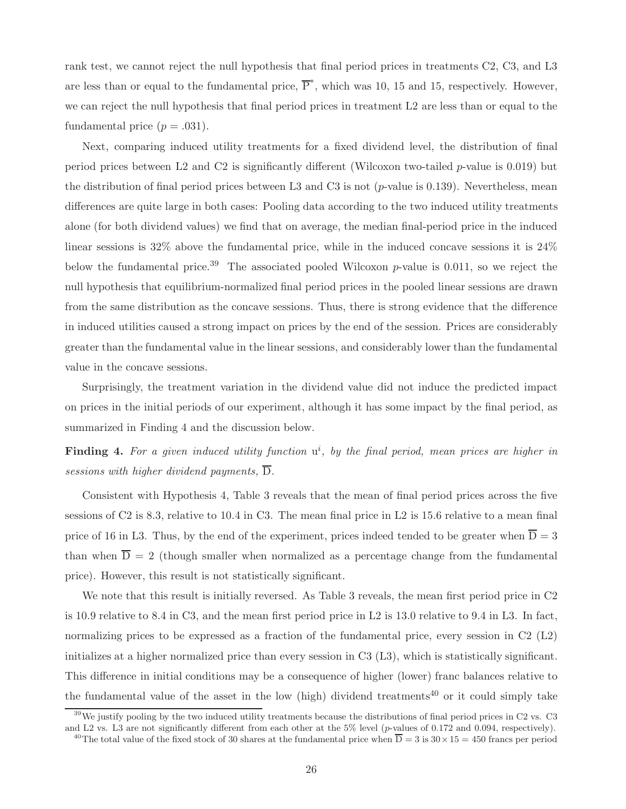rank test, we cannot reject the null hypothesis that final period prices in treatments C2, C3, and L3 are less than or equal to the fundamental price,  $\overline{P}^*$ , which was 10, 15 and 15, respectively. However, we can reject the null hypothesis that final period prices in treatment L2 are less than or equal to the fundamental price  $(p=.031)$ .

Next, comparing induced utility treatments for a fixed dividend level, the distribution of final period prices between L2 and C2 is significantly different (Wilcoxon two-tailed  $p$ -value is 0.019) but the distribution of final period prices between L3 and C3 is not  $(p$ -value is 0.139). Nevertheless, mean differences are quite large in both cases: Pooling data according to the two induced utility treatments alone (for both dividend values) we find that on average, the median final-period price in the induced linear sessions is 32% above the fundamental price, while in the induced concave sessions it is 24% below the fundamental price.<sup>39</sup> The associated pooled Wilcoxon p-value is 0.011, so we reject the null hypothesis that equilibrium-normalized final period prices in the pooled linear sessions are drawn from the same distribution as the concave sessions. Thus, there is strong evidence that the difference in induced utilities caused a strong impact on prices by the end of the session. Prices are considerably greater than the fundamental value in the linear sessions, and considerably lower than the fundamental value in the concave sessions.

Surprisingly, the treatment variation in the dividend value did not induce the predicted impact on prices in the initial periods of our experiment, although it has some impact by the final period, as summarized in Finding 4 and the discussion below.

**Finding 4.** For a given induced utility function  $u^i$ , by the final period, mean prices are higher in *sessions with higher dividend payments,*  $\overline{D}$ *.* 

Consistent with Hypothesis 4, Table 3 reveals that the mean of final period prices across the five sessions of C2 is 8.3, relative to 10.4 in C3. The mean final price in L2 is 15.6 relative to a mean final price of 16 in L3. Thus, by the end of the experiment, prices indeed tended to be greater when  $\overline{D}=3$ than when  $\overline{D} = 2$  (though smaller when normalized as a percentage change from the fundamental price). However, this result is not statistically significant.

We note that this result is initially reversed. As Table 3 reveals, the mean first period price in C2 is 10.9 relative to 8.4 in C3, and the mean first period price in L2 is 13.0 relative to 9.4 in L3. In fact, normalizing prices to be expressed as a fraction of the fundamental price, every session in C2 (L2) initializes at a higher normalized price than every session in C3 (L3), which is statistically significant. This difference in initial conditions may be a consequence of higher (lower) franc balances relative to the fundamental value of the asset in the low (high) dividend treatments<sup>40</sup> or it could simply take

 $39\,\text{We justify pooling by the two induced utility treatments because the distributions of final period prices in C2 vs. C3.}$ and L2 vs. L3 are not significantly different from each other at the  $5\%$  level (p-values of 0.172 and 0.094, respectively).

<sup>&</sup>lt;sup>40</sup>The total value of the fixed stock of 30 shares at the fundamental price when  $\overline{D} = 3$  is  $30 \times 15 = 450$  francs per period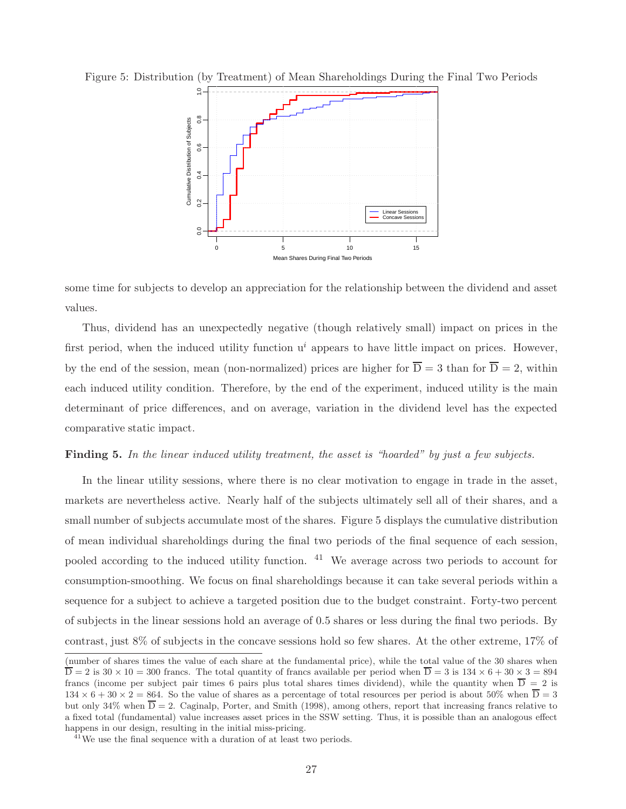

Figure 5: Distribution (by Treatment) of Mean Shareholdings During the Final Two Periods

some time for subjects to develop an appreciation for the relationship between the dividend and asset values.

Thus, dividend has an unexpectedly negative (though relatively small) impact on prices in the first period, when the induced utility function  $u^i$  appears to have little impact on prices. However, by the end of the session, mean (non-normalized) prices are higher for  $\overline{D} = 3$  than for  $\overline{D} = 2$ , within each induced utility condition. Therefore, by the end of the experiment, induced utility is the main determinant of price differences, and on average, variation in the dividend level has the expected comparative static impact.

### **Finding 5.** *In the linear induced utility treatment, the asset is "hoarded" by just a few subjects.*

In the linear utility sessions, where there is no clear motivation to engage in trade in the asset, markets are nevertheless active. Nearly half of the subjects ultimately sell all of their shares, and a small number of subjects accumulate most of the shares. Figure 5 displays the cumulative distribution of mean individual shareholdings during the final two periods of the final sequence of each session, pooled according to the induced utility function. <sup>41</sup> We average across two periods to account for consumption-smoothing. We focus on final shareholdings because it can take several periods within a sequence for a subject to achieve a targeted position due to the budget constraint. Forty-two percent of subjects in the linear sessions hold an average of 0.5 shares or less during the final two periods. By contrast, just 8% of subjects in the concave sessions hold so few shares. At the other extreme, 17% of

<sup>(</sup>number of shares times the value of each share at the fundamental price), while the total value of the 30 shares when  $\overline{D} = 2$  is  $30 \times 10 = 300$  francs. The total quantity of francs available per period when  $\overline{D} = 3$  is  $134 \times 6 + 30 \times 3 = 894$ francs (income per subject pair times 6 pairs plus total shares times dividend), while the quantity when  $\overline{D} = 2$  is  $134 \times 6 + 30 \times 2 = 864$ . So the value of shares as a percentage of total resources per period is about  $50\%$  when  $\overline{D}=3$ but only 34% when  $\overline{D} = 2$ . Caginalp, Porter, and Smith (1998), among others, report that increasing francs relative to a fixed total (fundamental) value increases asset prices in the SSW setting. Thus, it is possible than an analogous effect happens in our design, resulting in the initial miss-pricing.

 $41$ We use the final sequence with a duration of at least two periods.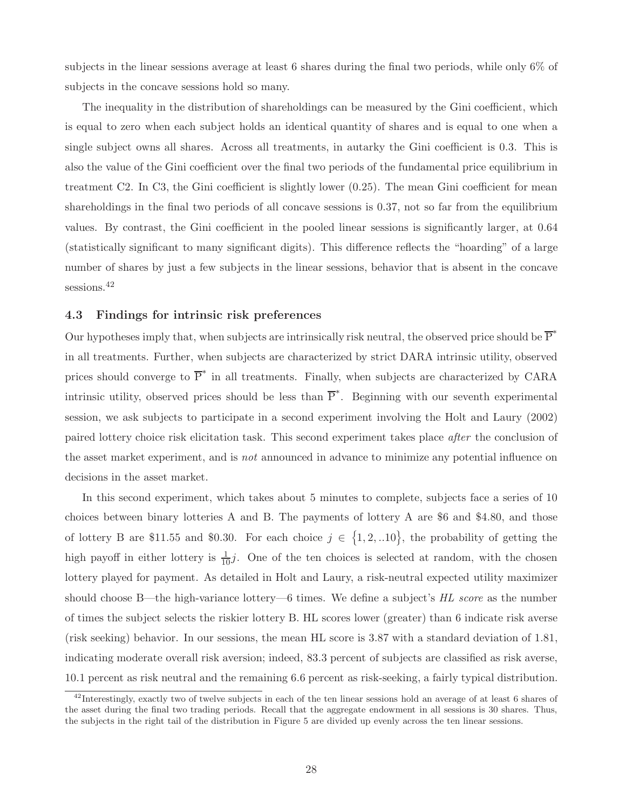subjects in the linear sessions average at least 6 shares during the final two periods, while only 6% of subjects in the concave sessions hold so many.

The inequality in the distribution of shareholdings can be measured by the Gini coefficient, which is equal to zero when each subject holds an identical quantity of shares and is equal to one when a single subject owns all shares. Across all treatments, in autarky the Gini coefficient is 0.3. This is also the value of the Gini coefficient over the final two periods of the fundamental price equilibrium in treatment C2. In C3, the Gini coefficient is slightly lower (0.25). The mean Gini coefficient for mean shareholdings in the final two periods of all concave sessions is 0.37, not so far from the equilibrium values. By contrast, the Gini coefficient in the pooled linear sessions is significantly larger, at 0.64 (statistically significant to many significant digits). This difference reflects the "hoarding" of a large number of shares by just a few subjects in the linear sessions, behavior that is absent in the concave sessions.<sup>42</sup>

### **4.3 Findings for intrinsic risk preferences**

Our hypotheses imply that, when subjects are intrinsically risk neutral, the observed price should be  $\overline{P}^*$ in all treatments. Further, when subjects are characterized by strict DARA intrinsic utility, observed prices should converge to  $\overline{P}^*$  in all treatments. Finally, when subjects are characterized by CARA intrinsic utility, observed prices should be less than  $\overline{P}^*$ . Beginning with our seventh experimental session, we ask subjects to participate in a second experiment involving the Holt and Laury (2002) paired lottery choice risk elicitation task. This second experiment takes place *after* the conclusion of the asset market experiment, and is *not* announced in advance to minimize any potential influence on decisions in the asset market.

In this second experiment, which takes about 5 minutes to complete, subjects face a series of 10 choices between binary lotteries A and B. The payments of lottery A are \$6 and \$4.80, and those of lottery B are \$11.55 and \$0.30. For each choice  $j \in \{1, 2, ...10\}$ , the probability of getting the high payoff in either lottery is  $\frac{1}{10}j$ . One of the ten choices is selected at random, with the chosen lottery played for payment. As detailed in Holt and Laury, a risk-neutral expected utility maximizer should choose B—the high-variance lottery—6 times. We define a subject's *HL score* as the number of times the subject selects the riskier lottery B. HL scores lower (greater) than 6 indicate risk averse (risk seeking) behavior. In our sessions, the mean HL score is 3.87 with a standard deviation of 1.81, indicating moderate overall risk aversion; indeed, 83.3 percent of subjects are classified as risk averse, 10.1 percent as risk neutral and the remaining 6.6 percent as risk-seeking, a fairly typical distribution.

<sup>&</sup>lt;sup>42</sup>Interestingly, exactly two of twelve subjects in each of the ten linear sessions hold an average of at least 6 shares of the asset during the final two trading periods. Recall that the aggregate endowment in all sessions is 30 shares. Thus, the subjects in the right tail of the distribution in Figure 5 are divided up evenly across the ten linear sessions.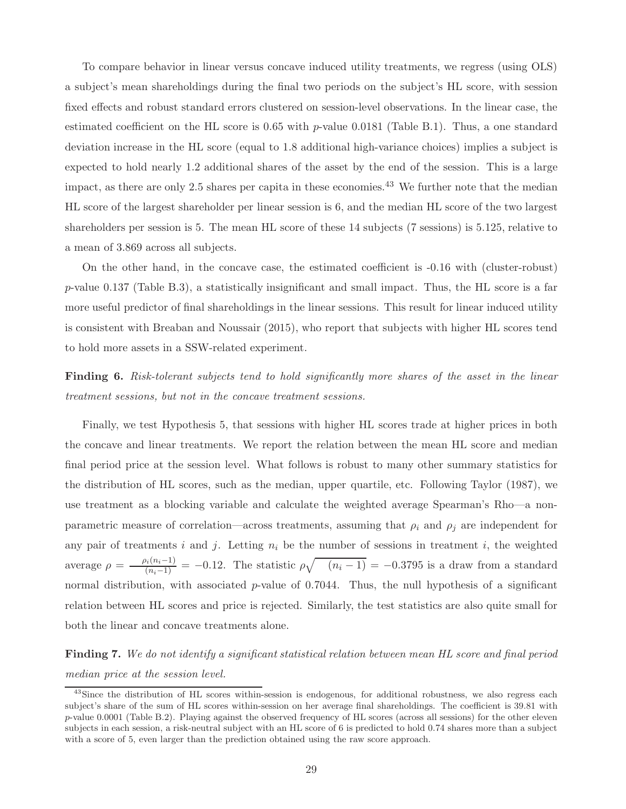To compare behavior in linear versus concave induced utility treatments, we regress (using OLS) a subject's mean shareholdings during the final two periods on the subject's HL score, with session fixed effects and robust standard errors clustered on session-level observations. In the linear case, the estimated coefficient on the HL score is 0.65 with p-value 0.0181 (Table B.1). Thus, a one standard deviation increase in the HL score (equal to 1.8 additional high-variance choices) implies a subject is expected to hold nearly 1.2 additional shares of the asset by the end of the session. This is a large impact, as there are only 2.5 shares per capita in these economies.<sup>43</sup> We further note that the median HL score of the largest shareholder per linear session is 6, and the median HL score of the two largest shareholders per session is 5. The mean HL score of these 14 subjects (7 sessions) is 5.125, relative to a mean of 3.869 across all subjects.

On the other hand, in the concave case, the estimated coefficient is -0.16 with (cluster-robust) p-value 0.137 (Table B.3), a statistically insignificant and small impact. Thus, the HL score is a far more useful predictor of final shareholdings in the linear sessions. This result for linear induced utility is consistent with Breaban and Noussair (2015), who report that subjects with higher HL scores tend to hold more assets in a SSW-related experiment.

**Finding 6.** *Risk-tolerant subjects tend to hold significantly more shares of the asset in the linear treatment sessions, but not in the concave treatment sessions.*

Finally, we test Hypothesis 5, that sessions with higher HL scores trade at higher prices in both the concave and linear treatments. We report the relation between the mean HL score and median final period price at the session level. What follows is robust to many other summary statistics for the distribution of HL scores, such as the median, upper quartile, etc. Following Taylor (1987), we use treatment as a blocking variable and calculate the weighted average Spearman's Rho—a nonparametric measure of correlation—across treatments, assuming that  $\rho_i$  and  $\rho_j$  are independent for any pair of treatments i and j. Letting  $n_i$  be the number of sessions in treatment i, the weighted average  $\rho = \frac{\rho_i(n_i-1)}{(n_i-1)} = -0.12$ . The statistic  $\rho \sqrt{(n_i-1)} = -0.3795$  is a draw from a standard normal distribution, with associated  $p$ -value of 0.7044. Thus, the null hypothesis of a significant relation between HL scores and price is rejected. Similarly, the test statistics are also quite small for both the linear and concave treatments alone.

# **Finding 7.** *We do not identify a significant statistical relation between mean HL score and final period median price at the session level.*

<sup>&</sup>lt;sup>43</sup>Since the distribution of HL scores within-session is endogenous, for additional robustness, we also regress each subject's share of the sum of HL scores within-session on her average final shareholdings. The coefficient is 39.81 with p-value 0.0001 (Table B.2). Playing against the observed frequency of HL scores (across all sessions) for the other eleven subjects in each session, a risk-neutral subject with an HL score of 6 is predicted to hold 0.74 shares more than a subject with a score of 5, even larger than the prediction obtained using the raw score approach.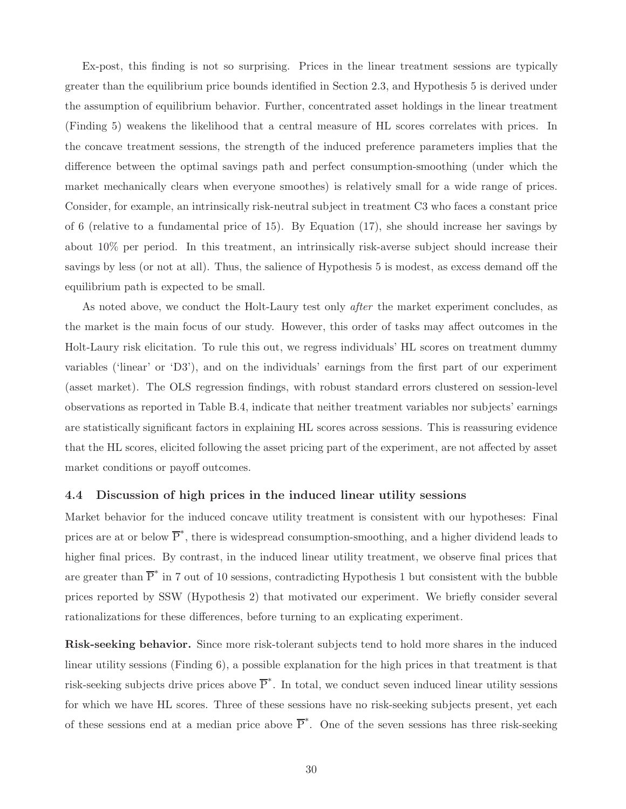Ex-post, this finding is not so surprising. Prices in the linear treatment sessions are typically greater than the equilibrium price bounds identified in Section 2.3, and Hypothesis 5 is derived under the assumption of equilibrium behavior. Further, concentrated asset holdings in the linear treatment (Finding 5) weakens the likelihood that a central measure of HL scores correlates with prices. In the concave treatment sessions, the strength of the induced preference parameters implies that the difference between the optimal savings path and perfect consumption-smoothing (under which the market mechanically clears when everyone smoothes) is relatively small for a wide range of prices. Consider, for example, an intrinsically risk-neutral subject in treatment C3 who faces a constant price of 6 (relative to a fundamental price of 15). By Equation (17), she should increase her savings by about 10% per period. In this treatment, an intrinsically risk-averse subject should increase their savings by less (or not at all). Thus, the salience of Hypothesis 5 is modest, as excess demand off the equilibrium path is expected to be small.

As noted above, we conduct the Holt-Laury test only *after* the market experiment concludes, as the market is the main focus of our study. However, this order of tasks may affect outcomes in the Holt-Laury risk elicitation. To rule this out, we regress individuals' HL scores on treatment dummy variables ('linear' or 'D3'), and on the individuals' earnings from the first part of our experiment (asset market). The OLS regression findings, with robust standard errors clustered on session-level observations as reported in Table B.4, indicate that neither treatment variables nor subjects' earnings are statistically significant factors in explaining HL scores across sessions. This is reassuring evidence that the HL scores, elicited following the asset pricing part of the experiment, are not affected by asset market conditions or payoff outcomes.

#### **4.4 Discussion of high prices in the induced linear utility sessions**

Market behavior for the induced concave utility treatment is consistent with our hypotheses: Final prices are at or below  $\overline{P}^*$ , there is widespread consumption-smoothing, and a higher dividend leads to higher final prices. By contrast, in the induced linear utility treatment, we observe final prices that are greater than  $\overline{P}^*$  in 7 out of 10 sessions, contradicting Hypothesis 1 but consistent with the bubble prices reported by SSW (Hypothesis 2) that motivated our experiment. We briefly consider several rationalizations for these differences, before turning to an explicating experiment.

**Risk-seeking behavior.** Since more risk-tolerant subjects tend to hold more shares in the induced linear utility sessions (Finding 6), a possible explanation for the high prices in that treatment is that risk-seeking subjects drive prices above  $\overline{P}^*$ . In total, we conduct seven induced linear utility sessions for which we have HL scores. Three of these sessions have no risk-seeking subjects present, yet each of these sessions end at a median price above  $\overline{P}^*$ . One of the seven sessions has three risk-seeking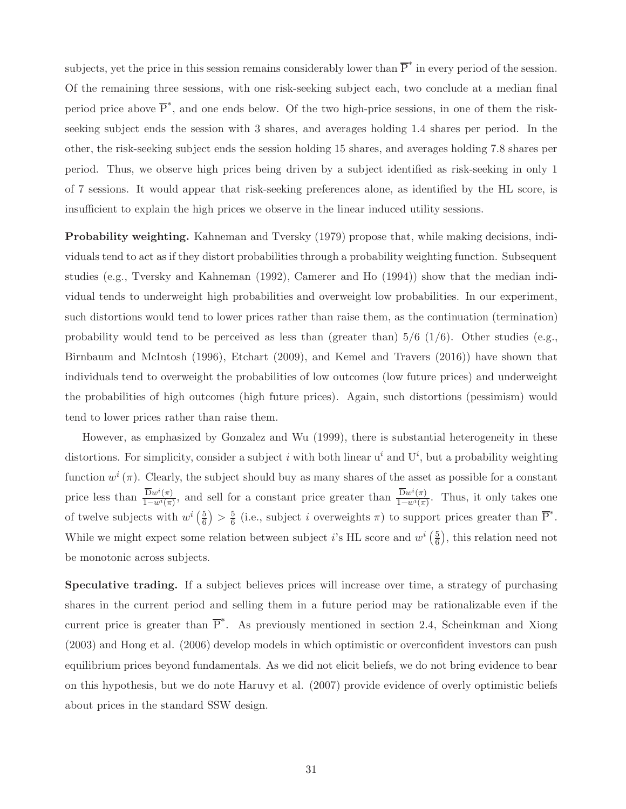subjects, yet the price in this session remains considerably lower than  $\overline{P}^*$  in every period of the session. Of the remaining three sessions, with one risk-seeking subject each, two conclude at a median final period price above  $\overline{P}^*$ , and one ends below. Of the two high-price sessions, in one of them the riskseeking subject ends the session with 3 shares, and averages holding 1.4 shares per period. In the other, the risk-seeking subject ends the session holding 15 shares, and averages holding 7.8 shares per period. Thus, we observe high prices being driven by a subject identified as risk-seeking in only 1 of 7 sessions. It would appear that risk-seeking preferences alone, as identified by the HL score, is insufficient to explain the high prices we observe in the linear induced utility sessions.

**Probability weighting.** Kahneman and Tversky (1979) propose that, while making decisions, individuals tend to act as if they distort probabilities through a probability weighting function. Subsequent studies (e.g., Tversky and Kahneman (1992), Camerer and Ho (1994)) show that the median individual tends to underweight high probabilities and overweight low probabilities. In our experiment, such distortions would tend to lower prices rather than raise them, as the continuation (termination) probability would tend to be perceived as less than (greater than)  $5/6$  ( $1/6$ ). Other studies (e.g., Birnbaum and McIntosh (1996), Etchart (2009), and Kemel and Travers (2016)) have shown that individuals tend to overweight the probabilities of low outcomes (low future prices) and underweight the probabilities of high outcomes (high future prices). Again, such distortions (pessimism) would tend to lower prices rather than raise them.

However, as emphasized by Gonzalez and Wu (1999), there is substantial heterogeneity in these distortions. For simplicity, consider a subject i with both linear  $u^i$  and  $U^i$ , but a probability weighting function  $w^{i}(\pi)$ . Clearly, the subject should buy as many shares of the asset as possible for a constant price less than  $\frac{\overline{D}w^{i}(\pi)}{1-w^{i}(\pi)}$ , and sell for a constant price greater than  $\frac{\overline{D}w^{i}(\pi)}{1-w^{i}(\pi)}$ . Thus, it only takes one of twelve subjects with  $w^i\left(\frac{5}{6}\right) > \frac{5}{6}$  (i.e., subject i overweights  $\pi$ ) to support prices greater than  $\overline{P}^*$ . While we might expect some relation between subject *i*'s HL score and  $w^i\left(\frac{5}{6}\right)$ , this relation need not be monotonic across subjects.

**Speculative trading.** If a subject believes prices will increase over time, a strategy of purchasing shares in the current period and selling them in a future period may be rationalizable even if the current price is greater than  $\overline{P}^*$ . As previously mentioned in section 2.4, Scheinkman and Xiong (2003) and Hong et al. (2006) develop models in which optimistic or overconfident investors can push equilibrium prices beyond fundamentals. As we did not elicit beliefs, we do not bring evidence to bear on this hypothesis, but we do note Haruvy et al. (2007) provide evidence of overly optimistic beliefs about prices in the standard SSW design.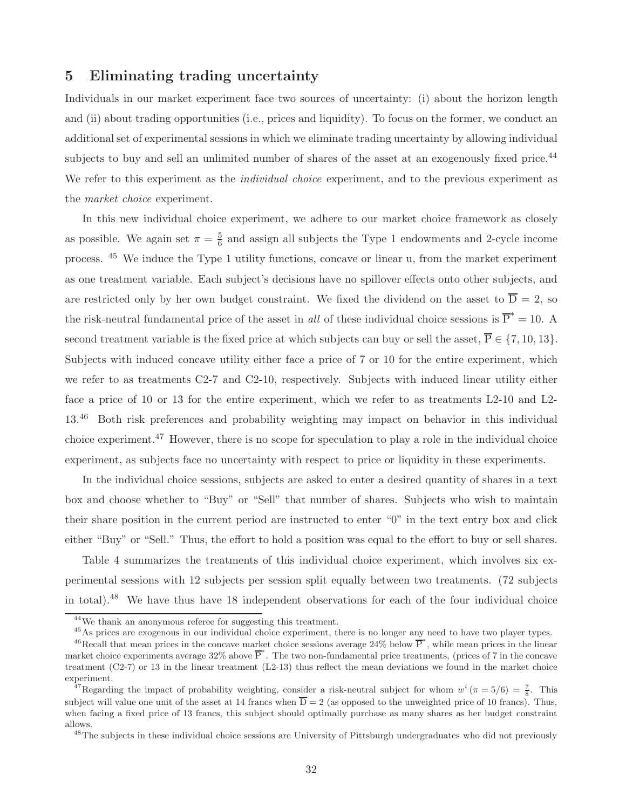## **5 Eliminating trading uncertainty**

Individuals in our market experiment face two sources of uncertainty: (i) about the horizon length and (ii) about trading opportunities (i.e., prices and liquidity). To focus on the former, we conduct an additional set of experimental sessions in which we eliminate trading uncertainty by allowing individual subjects to buy and sell an unlimited number of shares of the asset at an exogenously fixed price.<sup>44</sup> We refer to this experiment as the *individual choice* experiment, and to the previous experiment as the *market choice* experiment.

In this new individual choice experiment, we adhere to our market choice framework as closely as possible. We again set  $\pi = \frac{5}{6}$  and assign all subjects the Type 1 endowments and 2-cycle income process. <sup>45</sup> We induce the Type 1 utility functions, concave or linear u, from the market experiment as one treatment variable. Each subject's decisions have no spillover effects onto other subjects, and are restricted only by her own budget constraint. We fixed the dividend on the asset to  $\overline{D} = 2$ , so the risk-neutral fundamental price of the asset in *all* of these individual choice sessions is  $\overline{P}^* = 10$ . A second treatment variable is the fixed price at which subjects can buy or sell the asset,  $\overline{P} \in \{7, 10, 13\}$ . Subjects with induced concave utility either face a price of 7 or 10 for the entire experiment, which we refer to as treatments C2-7 and C2-10, respectively. Subjects with induced linear utility either face a price of 10 or 13 for the entire experiment, which we refer to as treatments L2-10 and L2- 13.<sup>46</sup> Both risk preferences and probability weighting may impact on behavior in this individual choice experiment. $47$  However, there is no scope for speculation to play a role in the individual choice experiment, as subjects face no uncertainty with respect to price or liquidity in these experiments.

In the individual choice sessions, subjects are asked to enter a desired quantity of shares in a text box and choose whether to "Buy" or "Sell" that number of shares. Subjects who wish to maintain their share position in the current period are instructed to enter "0" in the text entry box and click either "Buy" or "Sell." Thus, the effort to hold a position was equal to the effort to buy or sell shares.

Table 4 summarizes the treatments of this individual choice experiment, which involves six experimental sessions with 12 subjects per session split equally between two treatments. (72 subjects in total).<sup>48</sup> We have thus have 18 independent observations for each of the four individual choice

<sup>44</sup>We thank an anonymous referee for suggesting this treatment.

<sup>&</sup>lt;sup>45</sup>As prices are exogenous in our individual choice experiment, there is no longer any need to have two player types.

<sup>&</sup>lt;sup>46</sup>Recall that mean prices in the concave market choice sessions average 24% below  $\overline{P}^*$ , while mean prices in the linear market choice experiments average  $32\%$  above  $\overline{P}^*$ . The two non-fundamental price treatments, (prices of 7 in the concave treatment (C2-7) or 13 in the linear treatment (L2-13) thus reflect the mean deviations we found in the market choice experiment.

<sup>&</sup>lt;sup>47</sup>Regarding the impact of probability weighting, consider a risk-neutral subject for whom  $w^{i} (\pi = 5/6) = \frac{7}{8}$ . This subject will value one unit of the asset at 14 francs when  $\overline{D} = 2$  (as opposed to the unweighted price of 10 francs). Thus, when facing a fixed price of 13 francs, this subject should optimally purchase as many shares as her budget constraint allows.

<sup>&</sup>lt;sup>48</sup>The subjects in these individual choice sessions are University of Pittsburgh undergraduates who did not previously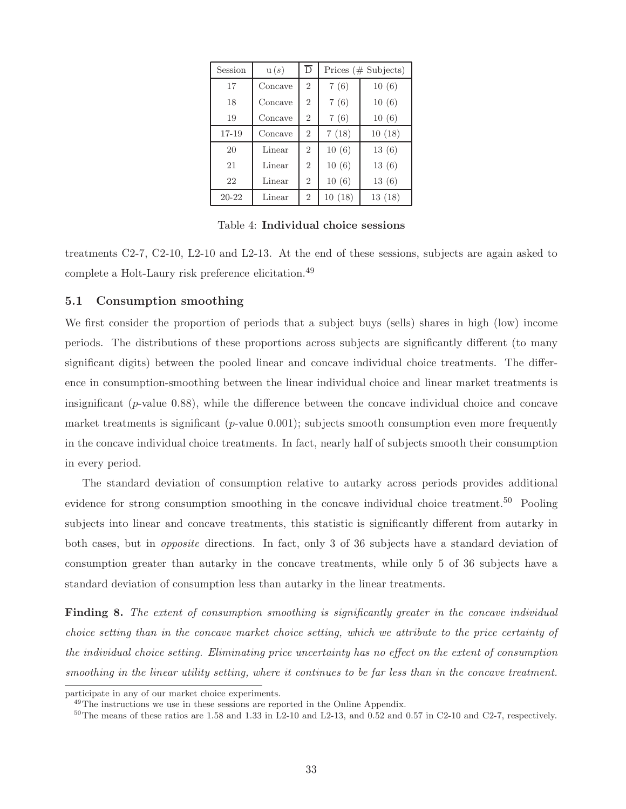| Session   | u(s)    | $\overline{D}$              | Prices $(\# \text{ Subjects})$ |        |
|-----------|---------|-----------------------------|--------------------------------|--------|
| 17        | Concave | $\mathcal{D}_{\mathcal{L}}$ | 7(6)                           | 10(6)  |
| 18        | Concave | $\overline{2}$              | 7(6)                           | 10(6)  |
| 19        | Concave | $\overline{2}$              | 7(6)                           | 10(6)  |
| 17-19     | Concave | $\overline{2}$              | 7(18)                          | 10(18) |
| 20        | Linear  | $\mathcal{D}_{\mathcal{L}}$ | 10(6)                          | 13(6)  |
| 21        | Linear  | $\mathfrak{D}$              | 10(6)                          | 13(6)  |
| 22        | Linear  | $\overline{2}$              | 10(6)                          | 13(6)  |
| $20 - 22$ | Linear  | $\overline{2}$              | 10(18)                         | 13(18) |

Table 4: **Individual choice sessions**

treatments C2-7, C2-10, L2-10 and L2-13. At the end of these sessions, subjects are again asked to complete a Holt-Laury risk preference elicitation.<sup>49</sup>

### **5.1 Consumption smoothing**

We first consider the proportion of periods that a subject buys (sells) shares in high (low) income periods. The distributions of these proportions across subjects are significantly different (to many significant digits) between the pooled linear and concave individual choice treatments. The difference in consumption-smoothing between the linear individual choice and linear market treatments is insignificant  $(p$ -value 0.88), while the difference between the concave individual choice and concave market treatments is significant  $(p$ -value 0.001); subjects smooth consumption even more frequently in the concave individual choice treatments. In fact, nearly half of subjects smooth their consumption in every period.

The standard deviation of consumption relative to autarky across periods provides additional evidence for strong consumption smoothing in the concave individual choice treatment.<sup>50</sup> Pooling subjects into linear and concave treatments, this statistic is significantly different from autarky in both cases, but in *opposite* directions. In fact, only 3 of 36 subjects have a standard deviation of consumption greater than autarky in the concave treatments, while only 5 of 36 subjects have a standard deviation of consumption less than autarky in the linear treatments.

**Finding 8.** *The extent of consumption smoothing is significantly greater in the concave individual choice setting than in the concave market choice setting, which we attribute to the price certainty of the individual choice setting. Eliminating price uncertainty has no effect on the extent of consumption smoothing in the linear utility setting, where it continues to be far less than in the concave treatment.*

participate in any of our market choice experiments.

<sup>&</sup>lt;sup>49</sup>The instructions we use in these sessions are reported in the Online Appendix.

 $50$ The means of these ratios are 1.58 and 1.33 in L2-10 and L2-13, and 0.52 and 0.57 in C2-10 and C2-7, respectively.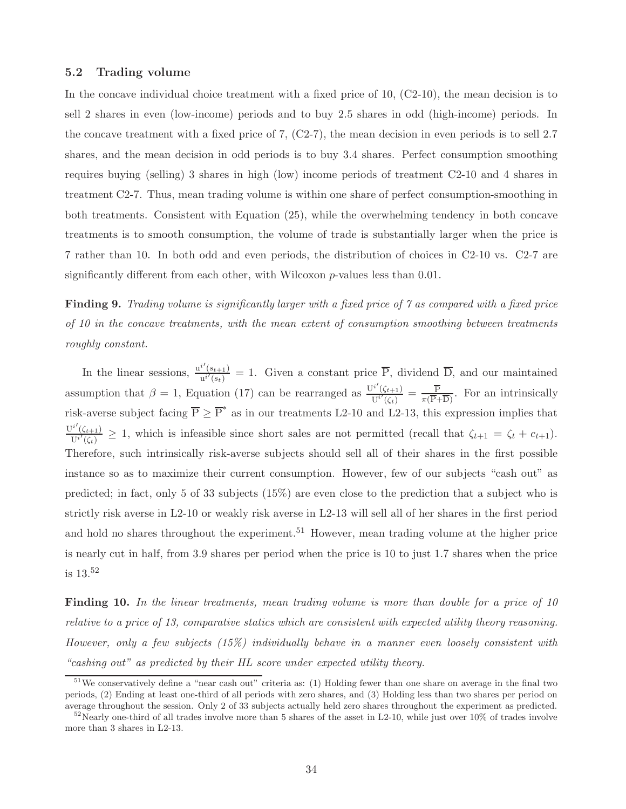### **5.2 Trading volume**

In the concave individual choice treatment with a fixed price of  $10$ ,  $(C2-10)$ , the mean decision is to sell 2 shares in even (low-income) periods and to buy 2.5 shares in odd (high-income) periods. In the concave treatment with a fixed price of 7, (C2-7), the mean decision in even periods is to sell 2.7 shares, and the mean decision in odd periods is to buy 3.4 shares. Perfect consumption smoothing requires buying (selling) 3 shares in high (low) income periods of treatment C2-10 and 4 shares in treatment C2-7. Thus, mean trading volume is within one share of perfect consumption-smoothing in both treatments. Consistent with Equation (25), while the overwhelming tendency in both concave treatments is to smooth consumption, the volume of trade is substantially larger when the price is 7 rather than 10. In both odd and even periods, the distribution of choices in C2-10 vs. C2-7 are significantly different from each other, with Wilcoxon p-values less than 0.01.

**Finding 9.** *Trading volume is significantly larger with a fixed price of 7 as compared with a fixed price of 10 in the concave treatments, with the mean extent of consumption smoothing between treatments roughly constant.*

In the linear sessions,  $\frac{u^{i'}(s_{t+1})}{u^{i'}(s)}$  $\frac{(\mathcal{S}_{t+1})}{\mathbf{u}^{i'}(\mathcal{S}_t)} = 1$ . Given a constant price P, dividend D, and our maintained assumption that  $\beta = 1$ , Equation (17) can be rearranged as  $\frac{U^{i'}(\zeta_{t+1})}{U^{i'}(\zeta_{t+1})}$  $\frac{U^{i'}(\zeta_{t+1})}{U^{i'}(\zeta_t)} = \frac{P}{\pi(\overline{P} + \overline{D})}$ . For an intrinsically risk-averse subject facing  $\overline{P} \geq \overline{P}^*$  as in our treatments L2-10 and L2-13, this expression implies that  $U^{i'}(\zeta_{t+1})$  $U^{i'}(\zeta_{t+1}) \geq 1$ , which is infeasible since short sales are not permitted (recall that  $\zeta_{t+1} = \zeta_t + c_{t+1}$ ). Therefore, such intrinsically risk-averse subjects should sell all of their shares in the first possible instance so as to maximize their current consumption. However, few of our subjects "cash out" as predicted; in fact, only 5 of 33 subjects (15%) are even close to the prediction that a subject who is strictly risk averse in L2-10 or weakly risk averse in L2-13 will sell all of her shares in the first period and hold no shares throughout the experiment.<sup>51</sup> However, mean trading volume at the higher price is nearly cut in half, from 3.9 shares per period when the price is 10 to just 1.7 shares when the price is 13.<sup>52</sup>

**Finding 10.** *In the linear treatments, mean trading volume is more than double for a price of 10 relative to a price of 13, comparative statics which are consistent with expected utility theory reasoning. However, only a few subjects (15%) individually behave in a manner even loosely consistent with "cashing out" as predicted by their HL score under expected utility theory.*

 $51$ We conservatively define a "near cash out" criteria as: (1) Holding fewer than one share on average in the final two periods, (2) Ending at least one-third of all periods with zero shares, and (3) Holding less than two shares per period on average throughout the session. Only 2 of 33 subjects actually held zero shares throughout the experiment as predicted.

 $52$ Nearly one-third of all trades involve more than 5 shares of the asset in L2-10, while just over 10% of trades involve more than 3 shares in L2-13.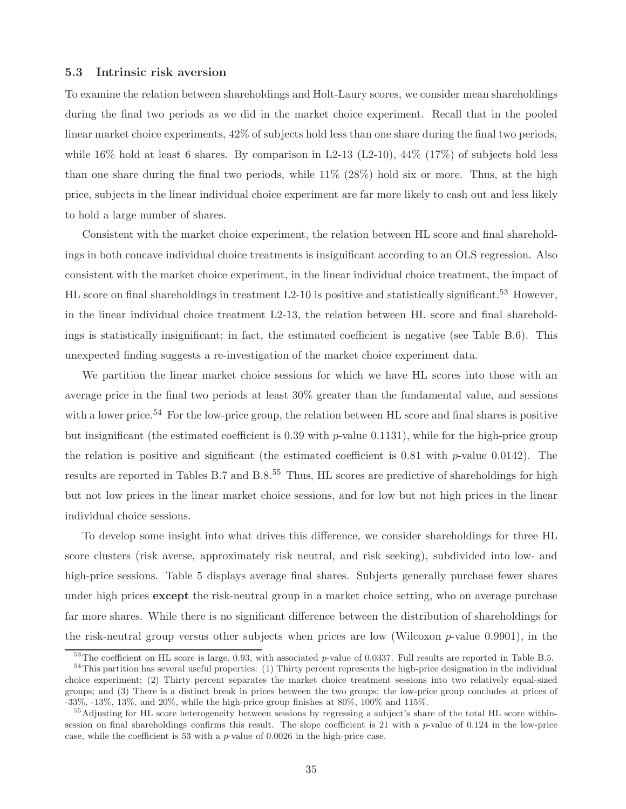### **5.3 Intrinsic risk aversion**

To examine the relation between shareholdings and Holt-Laury scores, we consider mean shareholdings during the final two periods as we did in the market choice experiment. Recall that in the pooled linear market choice experiments, 42% of subjects hold less than one share during the final two periods, while  $16\%$  hold at least 6 shares. By comparison in L2-13 (L2-10),  $44\%$  (17%) of subjects hold less than one share during the final two periods, while 11% (28%) hold six or more. Thus, at the high price, subjects in the linear individual choice experiment are far more likely to cash out and less likely to hold a large number of shares.

Consistent with the market choice experiment, the relation between HL score and final shareholdings in both concave individual choice treatments is insignificant according to an OLS regression. Also consistent with the market choice experiment, in the linear individual choice treatment, the impact of HL score on final shareholdings in treatment L2-10 is positive and statistically significant.<sup>53</sup> However, in the linear individual choice treatment L2-13, the relation between HL score and final shareholdings is statistically insignificant; in fact, the estimated coefficient is negative (see Table B.6). This unexpected finding suggests a re-investigation of the market choice experiment data.

We partition the linear market choice sessions for which we have HL scores into those with an average price in the final two periods at least 30% greater than the fundamental value, and sessions with a lower price.<sup>54</sup> For the low-price group, the relation between HL score and final shares is positive but insignificant (the estimated coefficient is  $0.39$  with  $p$ -value  $0.1131$ ), while for the high-price group the relation is positive and significant (the estimated coefficient is 0.81 with  $p$ -value 0.0142). The results are reported in Tables B.7 and B.8.<sup>55</sup> Thus, HL scores are predictive of shareholdings for high but not low prices in the linear market choice sessions, and for low but not high prices in the linear individual choice sessions.

To develop some insight into what drives this difference, we consider shareholdings for three HL score clusters (risk averse, approximately risk neutral, and risk seeking), subdivided into low- and high-price sessions. Table 5 displays average final shares. Subjects generally purchase fewer shares under high prices **except** the risk-neutral group in a market choice setting, who on average purchase far more shares. While there is no significant difference between the distribution of shareholdings for the risk-neutral group versus other subjects when prices are low (Wilcoxon  $p$ -value 0.9901), in the

 $53$ The coefficient on HL score is large, 0.93, with associated p-value of 0.0337. Full results are reported in Table B.5.

 $54$ This partition has several useful properties: (1) Thirty percent represents the high-price designation in the individual choice experiment; (2) Thirty percent separates the market choice treatment sessions into two relatively equal-sized groups; and (3) There is a distinct break in prices between the two groups; the low-price group concludes at prices of -33%, -13%, 13%, and 20%, while the high-price group finishes at 80%, 100% and 115%.

<sup>&</sup>lt;sup>55</sup>Adjusting for HL score heterogeneity between sessions by regressing a subject's share of the total HL score withinsession on final shareholdings confirms this result. The slope coefficient is 21 with a  $p$ -value of 0.124 in the low-price case, while the coefficient is 53 with a p-value of 0.0026 in the high-price case.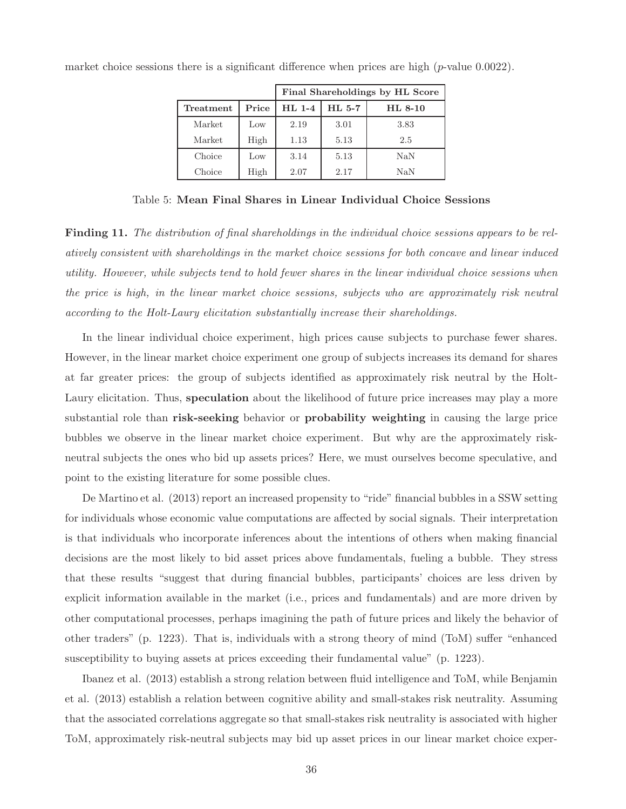|           |                 | Final Shareholdings by HL Score |        |            |  |  |  |
|-----------|-----------------|---------------------------------|--------|------------|--|--|--|
| Treatment | Price           | $HL$ 1-4                        | HL 5-7 | $HL$ 8-10  |  |  |  |
| Market    | Low             | 2.19                            | 3.01   | 3.83       |  |  |  |
| Market    | High            | 1.13                            | 5.13   | 2.5        |  |  |  |
| Choice    | $_{\text{Low}}$ | 3.14                            | 5.13   | <b>NaN</b> |  |  |  |
| Choice    | High            | 2.07                            | 2.17   | NaN        |  |  |  |

market choice sessions there is a significant difference when prices are high  $(p$ -value 0.0022).

Table 5: **Mean Final Shares in Linear Individual Choice Sessions**

**Finding 11.** *The distribution of final shareholdings in the individual choice sessions appears to be relatively consistent with shareholdings in the market choice sessions for both concave and linear induced utility. However, while subjects tend to hold fewer shares in the linear individual choice sessions when the price is high, in the linear market choice sessions, subjects who are approximately risk neutral according to the Holt-Laury elicitation substantially increase their shareholdings.*

In the linear individual choice experiment, high prices cause subjects to purchase fewer shares. However, in the linear market choice experiment one group of subjects increases its demand for shares at far greater prices: the group of subjects identified as approximately risk neutral by the Holt-Laury elicitation. Thus, **speculation** about the likelihood of future price increases may play a more substantial role than **risk-seeking** behavior or **probability weighting** in causing the large price bubbles we observe in the linear market choice experiment. But why are the approximately riskneutral subjects the ones who bid up assets prices? Here, we must ourselves become speculative, and point to the existing literature for some possible clues.

De Martino et al. (2013) report an increased propensity to "ride" financial bubbles in a SSW setting for individuals whose economic value computations are affected by social signals. Their interpretation is that individuals who incorporate inferences about the intentions of others when making financial decisions are the most likely to bid asset prices above fundamentals, fueling a bubble. They stress that these results "suggest that during financial bubbles, participants' choices are less driven by explicit information available in the market (i.e., prices and fundamentals) and are more driven by other computational processes, perhaps imagining the path of future prices and likely the behavior of other traders" (p. 1223). That is, individuals with a strong theory of mind (ToM) suffer "enhanced susceptibility to buying assets at prices exceeding their fundamental value" (p. 1223).

Ibanez et al. (2013) establish a strong relation between fluid intelligence and ToM, while Benjamin et al. (2013) establish a relation between cognitive ability and small-stakes risk neutrality. Assuming that the associated correlations aggregate so that small-stakes risk neutrality is associated with higher ToM, approximately risk-neutral subjects may bid up asset prices in our linear market choice exper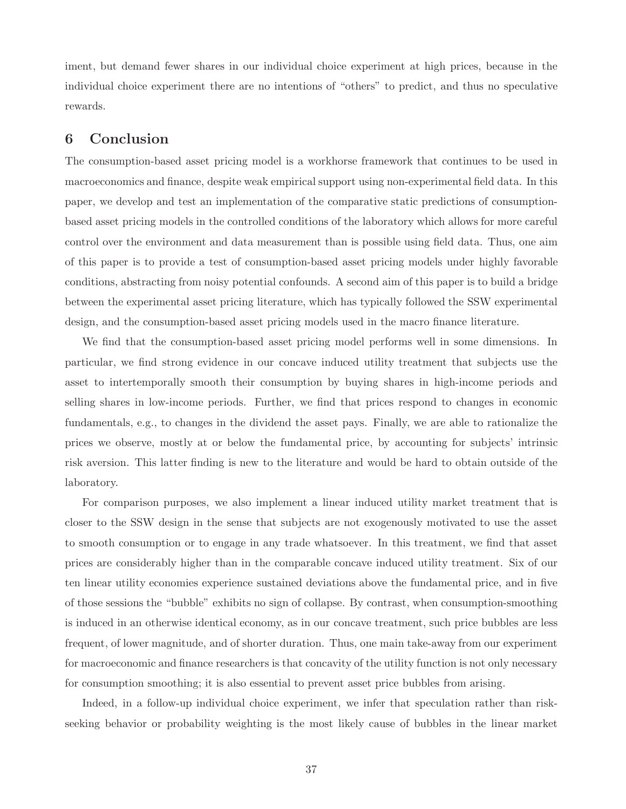iment, but demand fewer shares in our individual choice experiment at high prices, because in the individual choice experiment there are no intentions of "others" to predict, and thus no speculative rewards.

### **6 Conclusion**

The consumption-based asset pricing model is a workhorse framework that continues to be used in macroeconomics and finance, despite weak empirical support using non-experimental field data. In this paper, we develop and test an implementation of the comparative static predictions of consumptionbased asset pricing models in the controlled conditions of the laboratory which allows for more careful control over the environment and data measurement than is possible using field data. Thus, one aim of this paper is to provide a test of consumption-based asset pricing models under highly favorable conditions, abstracting from noisy potential confounds. A second aim of this paper is to build a bridge between the experimental asset pricing literature, which has typically followed the SSW experimental design, and the consumption-based asset pricing models used in the macro finance literature.

We find that the consumption-based asset pricing model performs well in some dimensions. In particular, we find strong evidence in our concave induced utility treatment that subjects use the asset to intertemporally smooth their consumption by buying shares in high-income periods and selling shares in low-income periods. Further, we find that prices respond to changes in economic fundamentals, e.g., to changes in the dividend the asset pays. Finally, we are able to rationalize the prices we observe, mostly at or below the fundamental price, by accounting for subjects' intrinsic risk aversion. This latter finding is new to the literature and would be hard to obtain outside of the laboratory.

For comparison purposes, we also implement a linear induced utility market treatment that is closer to the SSW design in the sense that subjects are not exogenously motivated to use the asset to smooth consumption or to engage in any trade whatsoever. In this treatment, we find that asset prices are considerably higher than in the comparable concave induced utility treatment. Six of our ten linear utility economies experience sustained deviations above the fundamental price, and in five of those sessions the "bubble" exhibits no sign of collapse. By contrast, when consumption-smoothing is induced in an otherwise identical economy, as in our concave treatment, such price bubbles are less frequent, of lower magnitude, and of shorter duration. Thus, one main take-away from our experiment for macroeconomic and finance researchers is that concavity of the utility function is not only necessary for consumption smoothing; it is also essential to prevent asset price bubbles from arising.

Indeed, in a follow-up individual choice experiment, we infer that speculation rather than riskseeking behavior or probability weighting is the most likely cause of bubbles in the linear market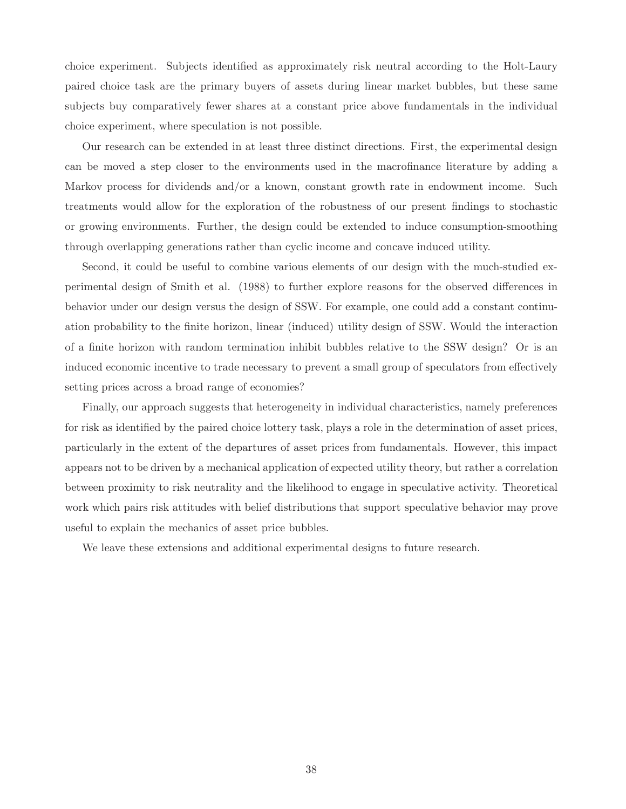choice experiment. Subjects identified as approximately risk neutral according to the Holt-Laury paired choice task are the primary buyers of assets during linear market bubbles, but these same subjects buy comparatively fewer shares at a constant price above fundamentals in the individual choice experiment, where speculation is not possible.

Our research can be extended in at least three distinct directions. First, the experimental design can be moved a step closer to the environments used in the macrofinance literature by adding a Markov process for dividends and/or a known, constant growth rate in endowment income. Such treatments would allow for the exploration of the robustness of our present findings to stochastic or growing environments. Further, the design could be extended to induce consumption-smoothing through overlapping generations rather than cyclic income and concave induced utility.

Second, it could be useful to combine various elements of our design with the much-studied experimental design of Smith et al. (1988) to further explore reasons for the observed differences in behavior under our design versus the design of SSW. For example, one could add a constant continuation probability to the finite horizon, linear (induced) utility design of SSW. Would the interaction of a finite horizon with random termination inhibit bubbles relative to the SSW design? Or is an induced economic incentive to trade necessary to prevent a small group of speculators from effectively setting prices across a broad range of economies?

Finally, our approach suggests that heterogeneity in individual characteristics, namely preferences for risk as identified by the paired choice lottery task, plays a role in the determination of asset prices, particularly in the extent of the departures of asset prices from fundamentals. However, this impact appears not to be driven by a mechanical application of expected utility theory, but rather a correlation between proximity to risk neutrality and the likelihood to engage in speculative activity. Theoretical work which pairs risk attitudes with belief distributions that support speculative behavior may prove useful to explain the mechanics of asset price bubbles.

We leave these extensions and additional experimental designs to future research.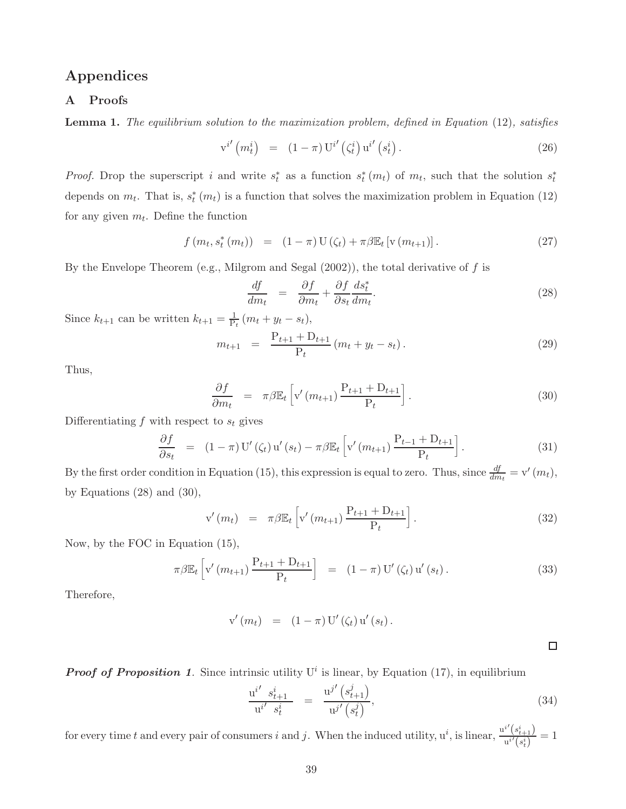# **Appendices**

### **A Proofs**

**Lemma 1.** *The equilibrium solution to the maximization problem, defined in Equation* (12)*, satisfies*

$$
\mathbf{v}^{i'}\left(m_t^i\right) = (1-\pi)\mathbf{U}^{i'}\left(\zeta_t^i\right)\mathbf{u}^{i'}\left(s_t^i\right). \tag{26}
$$

*Proof.* Drop the superscript i and write  $s_t^*$  as a function  $s_t^*(m_t)$  of  $m_t$ , such that the solution  $s_t^*$ depends on  $m_t$ . That is,  $s_t^*(m_t)$  is a function that solves the maximization problem in Equation (12) for any given  $m_t$ . Define the function

$$
f(m_t, s_t^*(m_t)) = (1 - \pi) U(\zeta_t) + \pi \beta \mathbb{E}_t [v(m_{t+1})]. \qquad (27)
$$

By the Envelope Theorem (e.g., Milgrom and Segal  $(2002)$ ), the total derivative of f is

$$
\frac{df}{dm_t} = \frac{\partial f}{\partial m_t} + \frac{\partial f}{\partial s_t} \frac{ds_t^*}{dm_t}.
$$
\n(28)

Since  $k_{t+1}$  can be written  $k_{t+1} = \frac{1}{P_t} (m_t + y_t - s_t)$ ,

$$
m_{t+1} = \frac{P_{t+1} + D_{t+1}}{P_t} (m_t + y_t - s_t).
$$
 (29)

Thus,

$$
\frac{\partial f}{\partial m_t} = \pi \beta \mathbb{E}_t \left[ \mathbf{v}'(m_{t+1}) \frac{\mathbf{P}_{t+1} + \mathbf{D}_{t+1}}{\mathbf{P}_t} \right]. \tag{30}
$$

Differentiating  $f$  with respect to  $s_t$  gives

$$
\frac{\partial f}{\partial s_t} = (1 - \pi) \mathbf{U}'(\zeta_t) \mathbf{u}'(s_t) - \pi \beta \mathbb{E}_t \left[ \mathbf{v}'(m_{t+1}) \frac{\mathbf{P}_{t-1} + \mathbf{D}_{t+1}}{\mathbf{P}_t} \right]. \tag{31}
$$

By the first order condition in Equation (15), this expression is equal to zero. Thus, since  $\frac{df}{dm_t} = v'(m_t)$ , by Equations  $(28)$  and  $(30)$ ,

$$
\mathbf{v}'(m_t) = \pi \beta \mathbb{E}_t \left[ \mathbf{v}'(m_{t+1}) \frac{\mathbf{P}_{t+1} + \mathbf{D}_{t+1}}{\mathbf{P}_t} \right]. \tag{32}
$$

Now, by the FOC in Equation (15),

$$
\pi\beta \mathbb{E}_t \left[ \mathbf{v}'\left(m_{t+1}\right) \frac{\mathbf{P}_{t+1} + \mathbf{D}_{t+1}}{\mathbf{P}_t} \right] = \left(1 - \pi\right) \mathbf{U}'\left(\zeta_t\right) \mathbf{u}'\left(s_t\right). \tag{33}
$$

Therefore,

$$
\mathbf{v}'(m_t) = (1-\pi) \mathbf{U}'(\zeta_t) \mathbf{u}'(s_t).
$$

**Proof of Proposition 1.** Since intrinsic utility  $U^i$  is linear, by Equation (17), in equilibrium

$$
\frac{u^{i'} s_{t+1}^i}{u^{i'} s_t^i} = \frac{u^{j'} (s_{t+1}^j)}{u^{j'} (s_t^j)},
$$
\n(34)

for every time t and every pair of consumers i and j. When the induced utility,  $u^i$ , is linear,  $\frac{u^{i'}(s_{i+1}^i)}{u^{i'}(s_i)}$  $\frac{(s_{t+1})}{u^{i'}(s_t^i)} = 1$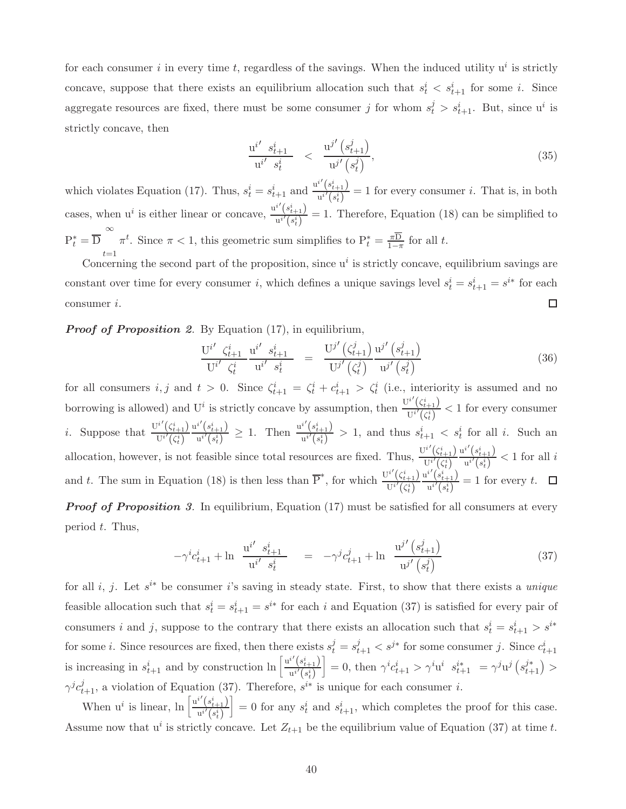for each consumer i in every time t, regardless of the savings. When the induced utility  $u^i$  is strictly concave, suppose that there exists an equilibrium allocation such that  $s_t^i < s_{t+1}^i$  for some *i*. Since aggregate resources are fixed, there must be some consumer j for whom  $s_t^j > s_{t+1}^i$ . But, since  $u^i$  is strictly concave, then

$$
\frac{u^{i'} s_{t+1}^{i}}{u^{i'} s_t^{i}} \quad < \quad \frac{u^{j'} \left(s_{t+1}^{j}\right)}{u^{j'} \left(s_t^{j}\right)},\tag{35}
$$

which violates Equation (17). Thus,  $s_t^i = s_{t+1}^i$  and  $\frac{u^{i'}(s_{t+1}^i)}{u^{i'}(s_t^i)}$  $\frac{u_i(s_{i+1}^i)}{u_i(s_i^i)} = 1$  for every consumer *i*. That is, in both cases, when u<sup>*i*</sup> is either linear or concave,  $\frac{u^{i'}(s_{i+1}^i)}{u^{i'}(s_i^i)}$  $\frac{\binom{S_{t+1}}{u^{i'}}}{\binom{s_t^{i'}}{s_t^{i'}}} = 1$ . Therefore, Equation (18) can be simplified to  $P_t^* = \overline{D}$ ∞  $t=1$  $\pi^t$ . Since  $\pi < 1$ , this geometric sum simplifies to  $P_t^* = \frac{\pi \overline{D}}{1-\pi}$  for all t.

Concerning the second part of the proposition, since  $u^i$  is strictly concave, equilibrium savings are constant over time for every consumer *i*, which defines a unique savings level  $s_t^i = s_{t+1}^i = s^{i*}$  for each  $\Box$ consumer i.

### *Proof of Proposition 2.* By Equation (17), in equilibrium,

$$
\frac{\mathbf{U}^{i'} \ \zeta_{t+1}^{i}}{\mathbf{U}^{i'} \ \zeta_{t}^{i}} \frac{\mathbf{u}^{i'} \ s_{t+1}^{i}}{\mathbf{u}^{i'} \ s_{t}^{i}} = \frac{\mathbf{U}^{j'} \left(\zeta_{t+1}^{j}\right) \mathbf{u}^{j'} \left(s_{t+1}^{j}\right)}{\mathbf{U}^{j'} \left(\zeta_{t}^{j}\right)} \frac{\mathbf{u}^{j'} \left(s_{t+1}^{j}\right)}{\mathbf{u}^{j'} \left(s_{t}^{j}\right)}
$$
(36)

for all consumers  $i, j$  and  $t > 0$ . Since  $\zeta_{t+1}^i = \zeta_t^i + c_{t+1}^i > \zeta_t^i$  (i.e., interiority is assumed and no borrowing is allowed) and U<sup>i</sup> is strictly concave by assumption, then  $\frac{U^{i'}(\zeta^{i}_{t+1})}{U^{i'}(\zeta^{i}_{t+1})}$  $\frac{U^{i'}(C_{t+1})}{U^{i'}(C_{t}^{i})}$  < 1 for every consumer *i*. Suppose that  $\frac{\mathrm{U}^{i'}(\zeta_{t+1}^i)}{\mathrm{U}^{i'}(\zeta_t^i)}$  $U^{i}(\zeta_t^i)$  $\mathrm{u}^{i'}(s_{t+1}^i)$  $\frac{u^{i'}(s_{t+1}^i)}{u^{i'}(s_t^i)} \geq 1$ . Then  $\frac{u^{i'}(s_{t+1}^i)}{u^{i'}(s_t^i)}$  $\frac{v(s_{t+1}^i)}{u^{i'}(s_t^i)} > 1$ , and thus  $s_{t+1}^i < s_t^i$  for all *i*. Such an allocation, however, is not feasible since total resources are fixed. Thus,  $\frac{U^{i'}(\zeta^{i}_{t+1})}{U^{i'}(\zeta^{i}_{t+1})}$  $\mathrm{U}^{i}(\zeta^i_t)$  $\mathrm{u}^{i'}(s_{t+1}^i)$  $\frac{f^*(s_{t+1}^i)}{u^{i'}(s_t^i)} < 1$  for all i and t. The sum in Equation (18) is then less than  $\overline{P}^*$ , for which  $\frac{U^{i'}(\zeta^i_{t+1})}{U^{i'}(\zeta^i)}$  $\mathrm{U}^{i} \big( \zeta^i_t \big)$  $\mathrm{u}^{i \, \prime} \bigl(s_{t+1}^i \bigr)$  $\frac{C(s_{t+1}^s)}{u^{i'}(s_t^i)} = 1$  for every t.

*Proof of Proposition 3.* In equilibrium, Equation (17) must be satisfied for all consumers at every period  $t$ . Thus,

$$
-\gamma^{i}c_{t+1}^{i} + \ln \frac{u^{i'}s_{t+1}^{i}}{u^{i'}s_{t}^{i}} = -\gamma^{j}c_{t+1}^{j} + \ln \frac{u^{j'}(s_{t+1}^{j})}{u^{j'}(s_{t}^{j})}
$$
(37)

for all *i*, *j*. Let  $s^{i*}$  be consumer *i*'s saving in steady state. First, to show that there exists a *unique* feasible allocation such that  $s_t^i = s_{t+1}^i = s^{i*}$  for each i and Equation (37) is satisfied for every pair of consumers i and j, suppose to the contrary that there exists an allocation such that  $s_t^i = s_{t+1}^i > s^{i*}$ for some *i*. Since resources are fixed, then there exists  $s_t^j = s_{t+1}^j < s^{j*}$  for some consumer *j*. Since  $c_{t+1}^i$ is increasing in  $s_{t+1}^i$  and by construction  $\ln \left[ \frac{u^{i'}(s_{t+1}^i)}{u^{i'}(s_t^i)} \right]$  $\mathrm{u}^{i \prime}\big(s_t^i\big)$  $= 0, \text{ then } \gamma^i c_{t+1}^i > \gamma^i u^i \text{ } s_{t+1}^{i*} = \gamma^j u^j (s_{t+1}^{j*}) >$  $\gamma^{j}c_{t+1}^{j}$ , a violation of Equation (37). Therefore,  $s^{i*}$  is unique for each consumer i.

When  $u^i$  is linear,  $\ln \left[ \frac{u^{i'}(s_{t+1}^i)}{u^{i'}(s_t^i)} \right]$  $\mathrm{u}^{i'}\!\left(s_t^i\right)$  $\bigg] = 0$  for any  $s_t^i$  and  $s_{t+1}^i$ , which completes the proof for this case. Assume now that  $u^i$  is strictly concave. Let  $Z_{t+1}$  be the equilibrium value of Equation (37) at time t.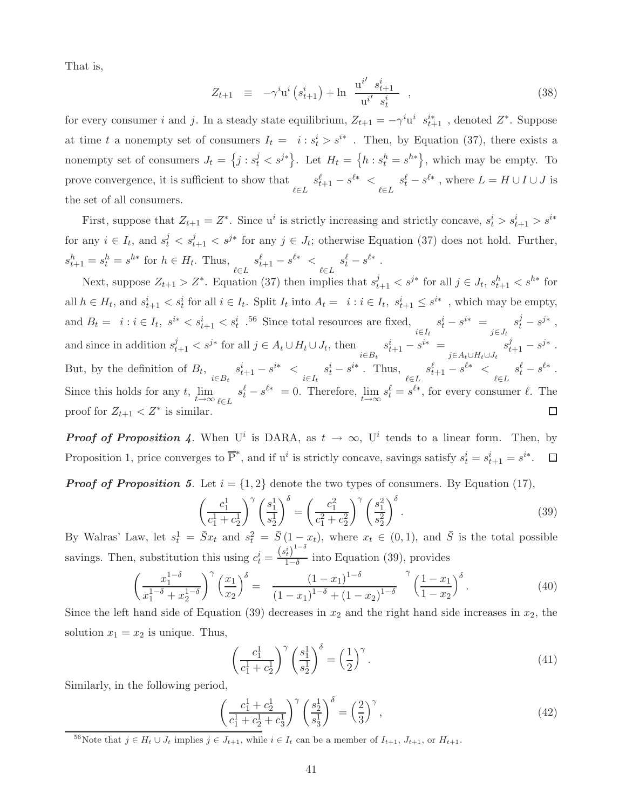That is,

$$
Z_{t+1} \equiv -\gamma^i u^i \left( s_{t+1}^i \right) + \ln \frac{u^{i'} \ s_{t+1}^i}{u^{i'} \ s_t^i} , \qquad (38)
$$

for every consumer i and j. In a steady state equilibrium,  $Z_{t+1} = -\gamma^i u^i$   $s^{i*}_{t+1}$ , denoted  $Z^*$ . Suppose at time t a nonempty set of consumers  $I_t = i : s_t^i > s^{i*}$ . Then, by Equation (37), there exists a nonempty set of consumers  $J_t = \{j : s_t^j < s^{j*}\}\$ . Let  $H_t = \{h : s_t^h = s^{h*}\}\$ , which may be empty. To prove convergence, it is sufficient to show that ∈L  $s_{t+1}^{\ell} - s^{\ell *}$  <  $\epsilon_{\ell \in L}$  $s_t^{\ell} - s^{\ell *}$ , where  $L = H \cup I \cup J$  is the set of all consumers.

First, suppose that  $Z_{t+1} = Z^*$ . Since  $u^i$  is strictly increasing and strictly concave,  $s_t^i > s_{t+1}^i > s^{i*}$ for any  $i \in I_t$ , and  $s_t^j < s_{t+1}^j < s^{j*}$  for any  $j \in J_t$ ; otherwise Equation (37) does not hold. Further,  $s_{t+1}^h = s_t^h = s^{h*}$  for  $h \in H_t$ . Thus,  $\ell \in L$  $s_{t+1}^{\ell} - s^{\ell *}$  <  $\epsilon_{\ell \in L}$  $s_t^{\ell} - s^{\ell *}$ .

Next, suppose  $Z_{t+1} > Z^*$ . Equation (37) then implies that  $s_{t+1}^j < s^{j*}$  for all  $j \in J_t$ ,  $s_{t+1}^h < s^{h*}$  for all  $h \in H_t$ , and  $s_{t+1}^i < s_t^i$  for all  $i \in I_t$ . Split  $I_t$  into  $A_t = i : i \in I_t$ ,  $s_{t+1}^i \leq s^{i*}$ , which may be empty,  $s_t^i - s^{i*} = \sum_{j \in J_t} s_t^j - s^{j*}$ , and  $B_t = i : i \in I_t$ ,  $s^{i*} < s_{t+1}^i < s_t^i$ .<sup>56</sup> Since total resources are fixed,  $i \in I_t$ and since in addition  $s_{t+1}^j < s^{j*}$  for all  $j \in A_t \cup H_t \cup J_t$ , then  $\sum_{i \in B_t}$  $s_{t+1}^i - s^{i*} = \frac{s_{t+1}^j - s^{j*}}{j \in A_t \cup H_t \cup J_t}$  $s_{t+1}^i - s^{i*}$  <  $\sum_{i \in I_t}$  $s_t^i - s^{i*}$ . Thus,  $s_{t+1}^{\ell} - s^{\ell *}$  <  $\epsilon_{\ell}$  $s_t^{\ell} - s^{\ell *}$ . But, by the definition of  $B_t$ ,  $i \in B_t$  ∈L Since this holds for any t,  $\lim_{t\to\infty} s_t^{\ell} - s^{\ell^*} = 0$ . Therefore,  $\lim_{t\to\infty} s_t^{\ell} = s^{\ell^*}$ , for every consumer  $\ell$ . The proof for  $Z_{t+1} < Z^*$  is similar.  $\Box$ 

*Proof of Proposition 4.* When U<sup>*i*</sup> is DARA, as  $t \to \infty$ , U<sup>*i*</sup> tends to a linear form. Then, by Proposition 1, price converges to  $\overline{P}^*$ , and if  $u^i$  is strictly concave, savings satisfy  $s_t^i = s_{t+1}^i = s^{i*}$ .  $\Box$ 

*Proof of Proposition 5.* Let  $i = \{1, 2\}$  denote the two types of consumers. By Equation (17),

$$
\left(\frac{c_1^1}{c_1^1 + c_2^1}\right)^{\gamma} \left(\frac{s_1^1}{s_2^1}\right)^{\delta} = \left(\frac{c_1^2}{c_1^2 + c_2^2}\right)^{\gamma} \left(\frac{s_1^2}{s_2^2}\right)^{\delta}.
$$
\n(39)

By Walras' Law, let  $s_t^1 = \bar{S}x_t$  and  $s_t^2 = \bar{S}(1-x_t)$ , where  $x_t \in (0,1)$ , and  $\bar{S}$  is the total possible savings. Then, substitution this using  $c_t^i = \frac{(s_t^i)^{1-\delta}}{1-\delta}$  into Equation (39), provides

$$
\left(\frac{x_1^{1-\delta}}{x_1^{1-\delta}+x_2^{1-\delta}}\right)^{\gamma} \left(\frac{x_1}{x_2}\right)^{\delta} = \frac{(1-x_1)^{1-\delta}}{(1-x_1)^{1-\delta}+(1-x_2)^{1-\delta}}^{\gamma} \left(\frac{1-x_1}{1-x_2}\right)^{\delta}.
$$
 (40)

Since the left hand side of Equation (39) decreases in  $x_2$  and the right hand side increases in  $x_2$ , the solution  $x_1 = x_2$  is unique. Thus,

$$
\left(\frac{c_1^1}{c_1^1+c_2^1}\right)^\gamma \left(\frac{s_1^1}{s_2^1}\right)^\delta = \left(\frac{1}{2}\right)^\gamma.
$$
\n(41)

Similarly, in the following period,

$$
\left(\frac{c_1^1 + c_2^1}{c_1^1 + c_2^1 + c_3^1}\right)^\gamma \left(\frac{s_2^1}{s_3^1}\right)^\delta = \left(\frac{2}{3}\right)^\gamma,\tag{42}
$$

<sup>&</sup>lt;sup>56</sup>Note that  $j \in H_t \cup J_t$  implies  $j \in J_{t+1}$ , while  $i \in I_t$  can be a member of  $I_{t+1}, J_{t+1}$ , or  $H_{t+1}$ .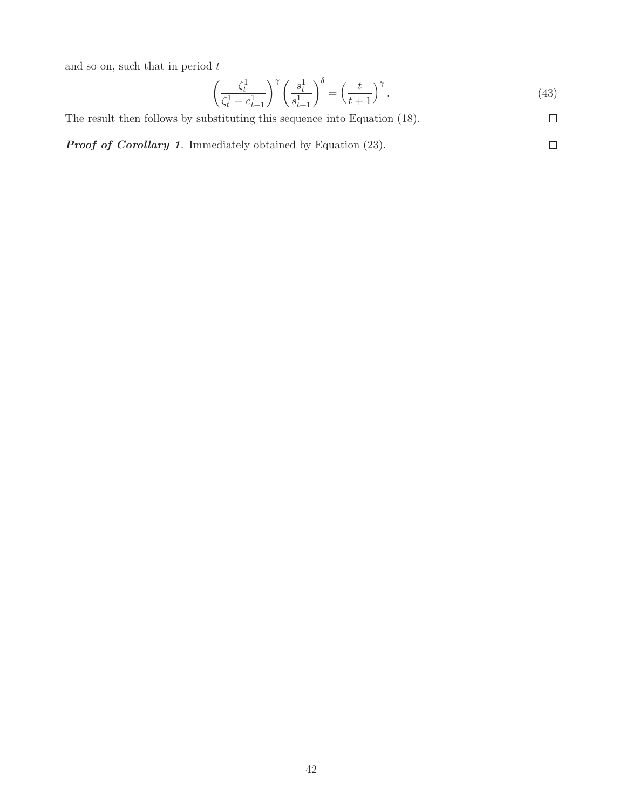and so on, such that in period  $\boldsymbol{t}$ 

$$
\left(\frac{\zeta_t^1}{\zeta_t^1 + c_{t+1}^1}\right)^\gamma \left(\frac{s_t^1}{s_{t+1}^1}\right)^\delta = \left(\frac{t}{t+1}\right)^\gamma.
$$
\n(43)

The result then follows by substituting this sequence into Equation (18).  $\Box$ 

*Proof of Corollary 1.* Immediately obtained by Equation (23).  $\Box$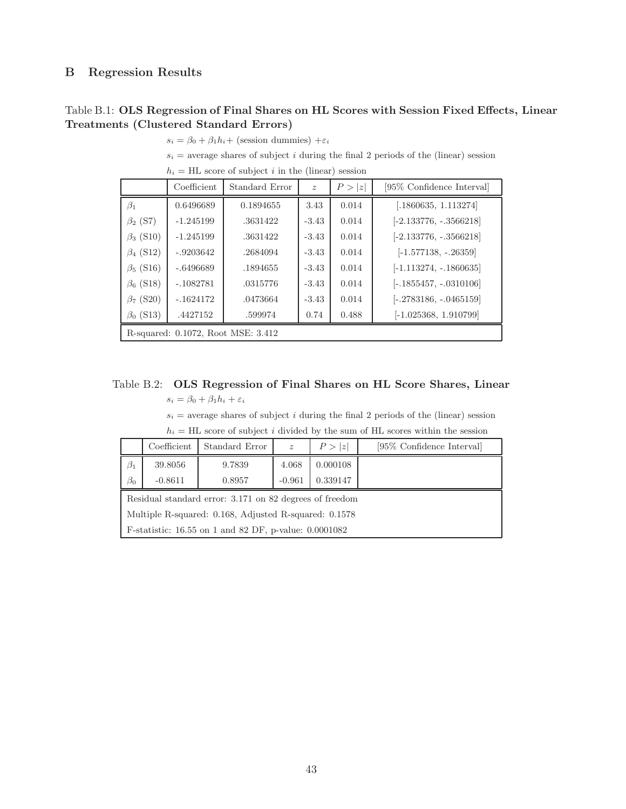### **B Regression Results**

### Table B.1: **OLS Regression of Final Shares on HL Scores with Session Fixed Effects, Linear Treatments (Clustered Standard Errors)**

 $s_i = \beta_0 + \beta_1 h_i + \text{(session dummies)} + \varepsilon_i$ 

 $s_i$  = average shares of subject *i* during the final 2 periods of the (linear) session  $h_i = \text{HL}$  score of subject i in the (linear) session

|                            | Coefficient                        | Standard Error | $\tilde{z}$ | P >  z | [95\% Confidence Interval] |  |  |  |
|----------------------------|------------------------------------|----------------|-------------|--------|----------------------------|--|--|--|
| $\beta_1$                  | 0.6496689                          | 0.1894655      | 3.43        | 0.014  | [.1860635, 1.113274]       |  |  |  |
| $\beta_2$ (S7)             | $-1.245199$                        | .3631422       | $-3.43$     | 0.014  | $[-2.133776, -.3566218]$   |  |  |  |
| $\beta_3$ (S10)            | $-1.245199$                        | .3631422       | $-3.43$     | 0.014  | $[-2.133776, -.3566218]$   |  |  |  |
| $\beta_4$ (S12)            | $-.9203642$                        | .2684094       | $-3.43$     | 0.014  | $[-1.577138, -0.26359]$    |  |  |  |
| $\beta_5$ (S16)            | $-.6496689$                        | .1894655       | $-3.43$     | 0.014  | $[-1.113274, -1860635]$    |  |  |  |
| $\beta_6$ (S18)            | $-.1082781$                        | .0315776       | $-3.43$     | 0.014  | $[-.1855457, -.0310106]$   |  |  |  |
| $\beta$ <sub>7</sub> (S20) | $-.1624172$                        | .0473664       | $-3.43$     | 0.014  | $[-.2783186, -.0465159]$   |  |  |  |
| $\beta_0$ (S13)            | .4427152                           | .599974        | 0.74        | 0.488  | $[-1.025368, 1.910799]$    |  |  |  |
|                            | R-squared: 0.1072, Root MSE: 3.412 |                |             |        |                            |  |  |  |

### Table B.2: **OLS Regression of Final Shares on HL Score Shares, Linear**

 $s_i = \beta_0 + \beta_1 h_i + \varepsilon_i$ 

 $s_i$  = average shares of subject i during the final 2 periods of the (linear) session

 $h_i = \text{HL}$  score of subject i divided by the sum of HL scores within the session

|           | Coefficient                                               | Standard Error                                          | $\tilde{z}$ | P >  z   | [95\% Confidence Interval] |  |  |  |
|-----------|-----------------------------------------------------------|---------------------------------------------------------|-------------|----------|----------------------------|--|--|--|
| $\beta_1$ | 39.8056                                                   | 9.7839                                                  | 4.068       | 0.000108 |                            |  |  |  |
| $\beta_0$ | $-0.8611$                                                 | 0.8957                                                  | $-0.961$    | 0.339147 |                            |  |  |  |
|           |                                                           | Residual standard error: 3.171 on 82 degrees of freedom |             |          |                            |  |  |  |
|           | Multiple R-squared: 0.168, Adjusted R-squared: 0.1578     |                                                         |             |          |                            |  |  |  |
|           | F-statistic: $16.55$ on 1 and 82 DF, p-value: $0.0001082$ |                                                         |             |          |                            |  |  |  |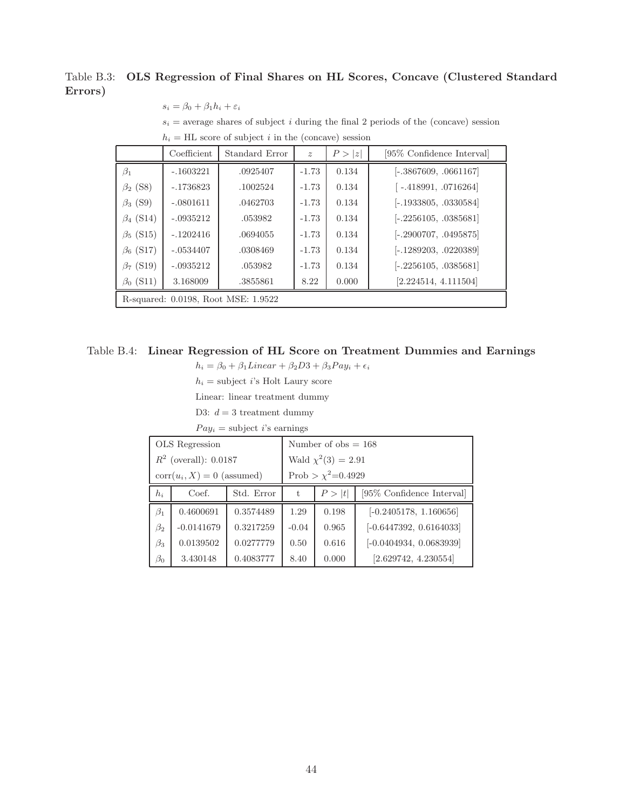### Table B.3: **OLS Regression of Final Shares on HL Scores, Concave (Clustered Standard Errors)**

$$
s_i = \beta_0 + \beta_1 h_i + \varepsilon_i
$$

 $s_i$  = average shares of subject i during the final 2 periods of the (concave) session  $h_i = \text{HL}$  score of subject i in the (concave) session

|                            | Coefficient                         | Standard Error | $\boldsymbol{z}$ | P >  z | [95\% Confidence Interval] |  |  |  |
|----------------------------|-------------------------------------|----------------|------------------|--------|----------------------------|--|--|--|
| $\beta_1$                  | $-.1603221$                         | .0925407       | $-1.73$          | 0.134  | $[-.3867609, .0661167]$    |  |  |  |
| $\beta_2$ (S8)             | $-.1736823$                         | .1002524       | $-1.73$          | 0.134  | $[-.418991, .0716264]$     |  |  |  |
| $\beta_3$ (S9)             | $-.0801611$                         | .0462703       | $-1.73$          | 0.134  | $[-.1933805, .0330584]$    |  |  |  |
| $\beta_4$ (S14)            | $-.0935212$                         | .053982        | $-1.73$          | 0.134  | $[-.2256105, .0385681]$    |  |  |  |
| $\beta_5$ (S15)            | $-.1202416$                         | .0694055       | $-1.73$          | 0.134  | $[-.2900707, .0495875]$    |  |  |  |
| $\beta_6$ (S17)            | $-.0534407$                         | .0308469       | $-1.73$          | 0.134  | $[-.1289203, .0220389]$    |  |  |  |
| $\beta$ <sub>7</sub> (S19) | $-.0935212$                         | .053982        | $-1.73$          | 0.134  | $[-.2256105, .0385681]$    |  |  |  |
| $\beta_0$ (S11)            | 3.168009                            | .3855861       | 8.22             | 0.000  | [2.224514, 4.111504]       |  |  |  |
|                            | R-squared: 0.0198, Root MSE: 1.9522 |                |                  |        |                            |  |  |  |

### Table B.4: **Linear Regression of HL Score on Treatment Dummies and Earnings**

 $h_i = \beta_0 + \beta_1 Linear + \beta_2 D3 + \beta_3 Pay_i + \epsilon_i$ 

 $h_i$  = subject *i*'s Holt Laury score

Linear: linear treatment dummy

D3:  $d = 3$  treatment dummy

 $Pay<sub>i</sub> = subject i's earnings$ 

| OLS Regression               |              |                         | Number of $obs = 168$   |       |                            |  |  |
|------------------------------|--------------|-------------------------|-------------------------|-------|----------------------------|--|--|
|                              |              | $R^2$ (overall): 0.0187 |                         |       | Wald $\chi^2(3) = 2.91$    |  |  |
| $corr(u_i, X) = 0$ (assumed) |              |                         | Prob > $\chi^2$ =0.4929 |       |                            |  |  |
| $h_i$                        | Coef.        | Std. Error              | t                       | P> t  | [95\% Confidence Interval] |  |  |
| $\beta_1$                    | 0.4600691    | 0.3574489               | 1.29                    | 0.198 | $[-0.2405178, 1.160656]$   |  |  |
| $\beta_2$                    | $-0.0141679$ | 0.3217259               | $-0.04$                 | 0.965 | $[-0.6447392, 0.6164033]$  |  |  |
| $\beta_3$                    | 0.0139502    | 0.0277779               | 0.50                    | 0.616 | $[-0.0404934, 0.0683939]$  |  |  |
| $\beta_0$                    | 3.430148     | 0.4083777               | 8.40                    | 0.000 | [2.629742, 4.230554]       |  |  |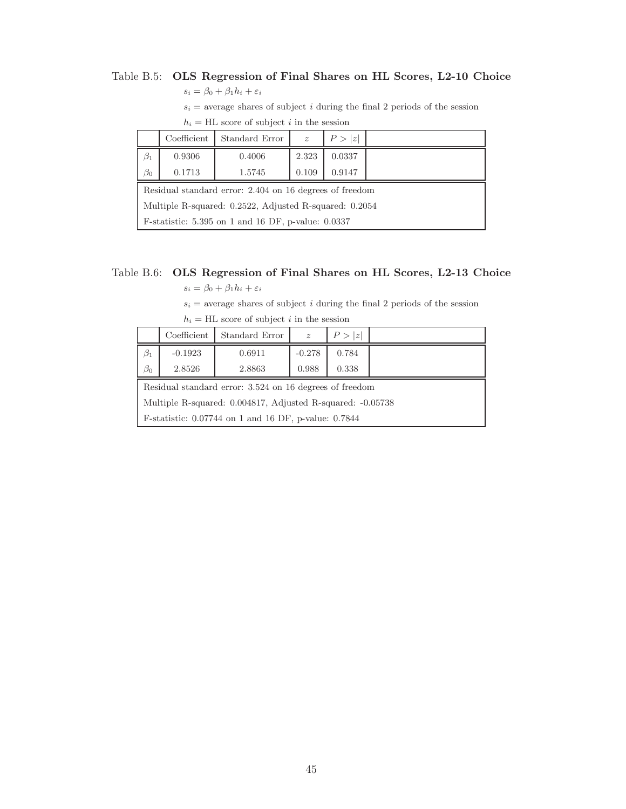### Table B.5: **OLS Regression of Final Shares on HL Scores, L2-10 Choice**

 $s_i = \beta_0 + \beta_1 h_i + \varepsilon_i$ 

 $s_i$  = average shares of subject i during the final 2 periods of the session

```
h_i = \mathrm{HL} score of subject i in the session
```

|           | Coefficient                                             | Standard Error | $\boldsymbol{z}$ | P >  z |  |  |  |  |  |
|-----------|---------------------------------------------------------|----------------|------------------|--------|--|--|--|--|--|
| $\beta_1$ | 0.9306                                                  | 0.4006         | 2.323            | 0.0337 |  |  |  |  |  |
| $\beta_0$ | 0.1713                                                  | 1.5745         | 0.109            | 0.9147 |  |  |  |  |  |
|           | Residual standard error: 2.404 on 16 degrees of freedom |                |                  |        |  |  |  |  |  |
|           | Multiple R-squared: 0.2522, Adjusted R-squared: 0.2054  |                |                  |        |  |  |  |  |  |
|           | F-statistic: $5.395$ on 1 and 16 DF, p-value: $0.0337$  |                |                  |        |  |  |  |  |  |

# Table B.6: **OLS Regression of Final Shares on HL Scores, L2-13 Choice**

 $s_i = \beta_0 + \beta_1 h_i + \varepsilon_i$ 

 $s_i$  = average shares of subject i during the final 2 periods of the session

|                                                            | Coefficient | Standard Error | $\tilde{z}$ | P >  z |  |  |  |
|------------------------------------------------------------|-------------|----------------|-------------|--------|--|--|--|
| $\beta_1$                                                  | $-0.1923$   | 0.6911         | $-0.278$    | 0.784  |  |  |  |
| $\beta_0$                                                  | 2.8526      | 2.8863         | 0.988       | 0.338  |  |  |  |
| Residual standard error: 3.524 on 16 degrees of freedom    |             |                |             |        |  |  |  |
| Multiple R-squared: 0.004817, Adjusted R-squared: -0.05738 |             |                |             |        |  |  |  |
| F-statistic: $0.07744$ on 1 and 16 DF, p-value: 0.7844     |             |                |             |        |  |  |  |

 $h_i = \mathrm{HL}$  score of subject  $i$  in the session